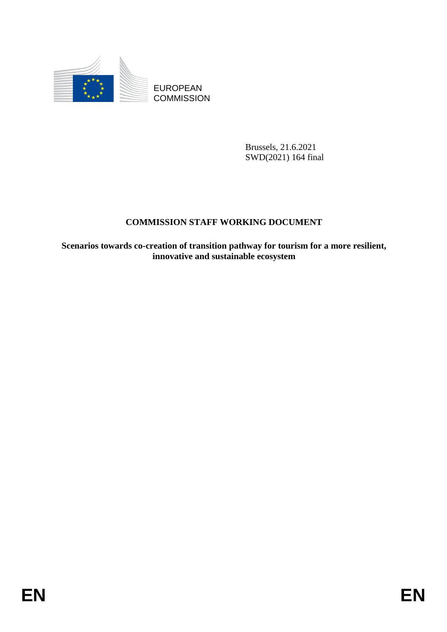

**COMMISSION** 

Brussels, 21.6.2021 SWD(2021) 164 final

# **COMMISSION STAFF WORKING DOCUMENT**

EUROPEAN<br>
EDISPONDESION<br>
ENERGIA 21.6.2021<br>
SWD(2012) is formal<br>
ENERGIA 21.6.2021<br>
ENERGIA COMMISSION STAFF WORKING DOCUMENT<br>
Secration of transition pathway for tourism for a more resilient,<br>
invariable and vanishable ec **Scenarios towards co-creation of transition pathway for tourism for a more resilient, innovative and sustainable ecosystem**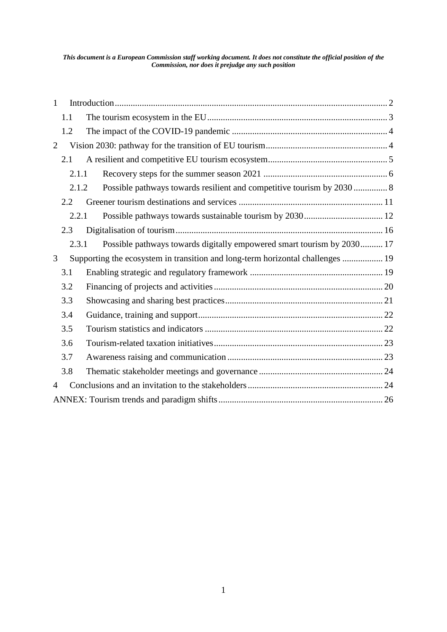#### *This document is a European Commission staff working document. It does not constitute the official position of the Commission, nor does it prejudge any such position*

| $\mathbf{1}$   |       |                                                                                |  |
|----------------|-------|--------------------------------------------------------------------------------|--|
|                | 1.1   |                                                                                |  |
|                | 1.2   |                                                                                |  |
| $\overline{2}$ |       |                                                                                |  |
|                | 2.1   |                                                                                |  |
|                | 2.1.1 |                                                                                |  |
|                | 2.1.2 |                                                                                |  |
|                | 2.2.  |                                                                                |  |
|                | 2.2.1 |                                                                                |  |
|                | 2.3   |                                                                                |  |
|                | 2.3.1 | Possible pathways towards digitally empowered smart tourism by 2030 17         |  |
| 3              |       | Supporting the ecosystem in transition and long-term horizontal challenges  19 |  |
|                | 3.1   |                                                                                |  |
|                | 3.2   |                                                                                |  |
|                | 3.3   |                                                                                |  |
|                | 3.4   |                                                                                |  |
|                | 3.5   |                                                                                |  |
|                | 3.6   |                                                                                |  |
|                | 3.7   |                                                                                |  |
|                | 3.8   |                                                                                |  |
| $\overline{4}$ |       |                                                                                |  |
|                |       |                                                                                |  |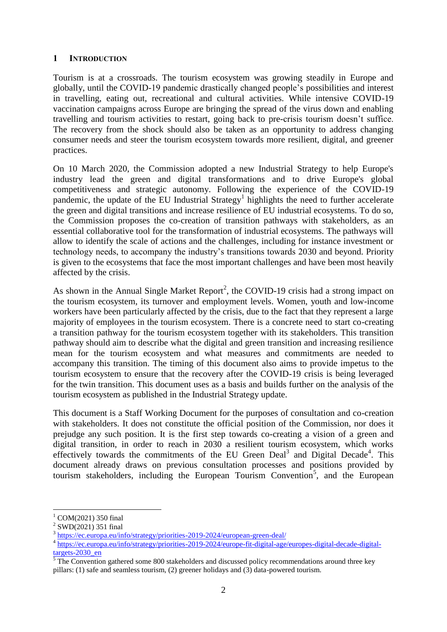#### <span id="page-2-0"></span>**1 INTRODUCTION**

Tourism is at a crossroads. The tourism ecosystem was growing steadily in Europe and globally, until the COVID-19 pandemic drastically changed people's possibilities and interest in travelling, eating out, recreational and cultural activities. While intensive COVID-19 vaccination campaigns across Europe are bringing the spread of the virus down and enabling travelling and tourism activities to restart, going back to pre-crisis tourism doesn't suffice. The recovery from the shock should also be taken as an opportunity to address changing consumer needs and steer the tourism ecosystem towards more resilient, digital, and greener practices.

On 10 March 2020, the Commission adopted a new Industrial Strategy to help Europe's industry lead the green and digital transformations and to drive Europe's global competitiveness and strategic autonomy. Following the experience of the COVID-19 pandemic, the update of the EU Industrial Strategy<sup>1</sup> highlights the need to further accelerate the green and digital transitions and increase resilience of EU industrial ecosystems. To do so, the Commission proposes the co-creation of transition pathways with stakeholders, as an essential collaborative tool for the transformation of industrial ecosystems. The pathways will allow to identify the scale of actions and the challenges, including for instance investment or technology needs, to accompany the industry's transitions towards 2030 and beyond. Priority is given to the ecosystems that face the most important challenges and have been most heavily affected by the crisis.

As shown in the Annual Single Market Report<sup>2</sup>, the COVID-19 crisis had a strong impact on the tourism ecosystem, its turnover and employment levels. Women, youth and low-income workers have been particularly affected by the crisis, due to the fact that they represent a large majority of employees in the tourism ecosystem. There is a concrete need to start co-creating a transition pathway for the tourism ecosystem together with its stakeholders. This transition pathway should aim to describe what the digital and green transition and increasing resilience mean for the tourism ecosystem and what measures and commitments are needed to accompany this transition. The timing of this document also aims to provide impetus to the tourism ecosystem to ensure that the recovery after the COVID-19 crisis is being leveraged for the twin transition. This document uses as a basis and builds further on the analysis of the tourism ecosystem as published in the Industrial Strategy update.

This document is a Staff Working Document for the purposes of consultation and co-creation with stakeholders. It does not constitute the official position of the Commission, nor does it prejudge any such position. It is the first step towards co-creating a vision of a green and digital transition, in order to reach in 2030 a resilient tourism ecosystem, which works effectively towards the commitments of the EU Green Deal<sup>3</sup> and Digital Decade<sup>4</sup>. This document already draws on previous consultation processes and positions provided by tourism stakeholders, including the European Tourism Convention<sup>5</sup>, and the European

1

 $^{1}$  COM(2021) 350 final

<sup>&</sup>lt;sup>2</sup> SWD(2021) 351 final<br> $\frac{3 \text{ h} \text{tr} \text{m} \text{s}}{2}$ 

<https://ec.europa.eu/info/strategy/priorities-2019-2024/european-green-deal/>

<sup>&</sup>lt;sup>4</sup> [https://ec.europa.eu/info/strategy/priorities-2019-2024/europe-fit-digital-age/europes-digital-decade-digital](https://ec.europa.eu/info/strategy/priorities-2019-2024/europe-fit-digital-age/europes-digital-decade-digital-targets-2030_en)[targets-2030\\_en](https://ec.europa.eu/info/strategy/priorities-2019-2024/europe-fit-digital-age/europes-digital-decade-digital-targets-2030_en)

 $\frac{5}{3}$  The Convention gathered some 800 stakeholders and discussed policy recommendations around three key pillars: (1) safe and seamless tourism, (2) greener holidays and (3) data-powered tourism.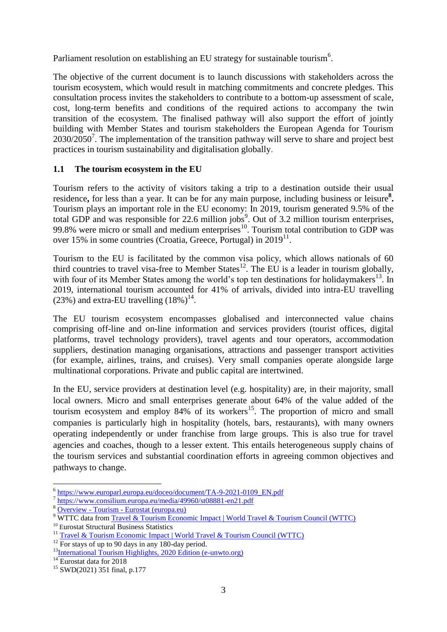Parliament resolution on establishing an EU strategy for sustainable tourism<sup>6</sup>.

The objective of the current document is to launch discussions with stakeholders across the tourism ecosystem, which would result in matching commitments and concrete pledges. This consultation process invites the stakeholders to contribute to a bottom-up assessment of scale, cost, long-term benefits and conditions of the required actions to accompany the twin transition of the ecosystem. The finalised pathway will also support the effort of jointly building with Member States and tourism stakeholders the European Agenda for Tourism  $2030/2050<sup>7</sup>$ . The implementation of the transition pathway will serve to share and project best practices in tourism sustainability and digitalisation globally.

# <span id="page-3-0"></span>**1.1 The tourism ecosystem in the EU**

Tourism refers to the activity of visitors taking a trip to a destination outside their usual residence, for less than a year. It can be for any main purpose, including business or leisure<sup>8</sup>. Tourism plays an important role in the EU economy: In 2019, tourism generated 9.5% of the total GDP and was responsible for 22.6 million jobs<sup>9</sup>. Out of 3.2 million tourism enterprises, 99.8% were micro or small and medium enterprises<sup>10</sup>. Tourism total contribution to GDP was over 15% in some countries (Croatia, Greece, Portugal) in 2019<sup>11</sup>.

Tourism to the EU is facilitated by the common visa policy, which allows nationals of 60 third countries to travel visa-free to Member States<sup>12</sup>. The EU is a leader in tourism globally, with four of its Member States among the world's top ten destinations for holidaymakers<sup>13</sup>. In 2019, international tourism accounted for 41% of arrivals, divided into intra-EU travelling  $(23%)$  and extra-EU travelling  $(18%)^{14}$ .

The EU tourism ecosystem encompasses globalised and interconnected value chains comprising off-line and on-line information and services providers (tourist offices, digital platforms, travel technology providers), travel agents and tour operators, accommodation suppliers, destination managing organisations, attractions and passenger transport activities (for example, airlines, trains, and cruises). Very small companies operate alongside large multinational corporations. Private and public capital are intertwined.

In the EU, service providers at destination level (e.g. hospitality) are, in their majority, small local owners. Micro and small enterprises generate about 64% of the value added of the tourism ecosystem and employ  $84\%$  of its workers<sup>15</sup>. The proportion of micro and small companies is particularly high in hospitality (hotels, bars, restaurants), with many owners operating independently or under franchise from large groups. This is also true for travel agencies and coaches, though to a lesser extent. This entails heterogeneous supply chains of the tourism services and substantial coordination efforts in agreeing common objectives and pathways to change.

<sup>–&</sup>lt;br>[https://www.europarl.europa.eu/doceo/document/TA-9-2021-0109\\_EN.pdf](https://www.europarl.europa.eu/doceo/document/TA-9-2021-0109_EN.pdf)

<sup>&</sup>lt;sup>7</sup> <https://www.consilium.europa.eu/media/49960/st08881-en21.pdf>

<sup>8</sup> Overview - Tourism - [Eurostat \(europa.eu\)](https://ec.europa.eu/eurostat/web/tourism)

<sup>9</sup> WTTC data from [Travel & Tourism Economic Impact | World Travel & Tourism Council \(WTTC\)](https://wttc.org/Research/Economic-Impact)

<sup>&</sup>lt;sup>10</sup> Eurostat Structural Business Statistics

<sup>11</sup> [Travel & Tourism Economic Impact | World Travel & Tourism Council \(WTTC\)](https://wttc.org/Research/Economic-Impact)

 $12$  For stays of up to 90 days in any 180-day period.

<sup>&</sup>lt;sup>13</sup>[International Tourism Highlights, 2020 Edition \(e-unwto.org\)](https://www.e-unwto.org/doi/epdf/10.18111/9789284422456)

<sup>&</sup>lt;sup>14</sup> Eurostat data for 2018

<sup>15</sup> SWD(2021) 351 final, p.177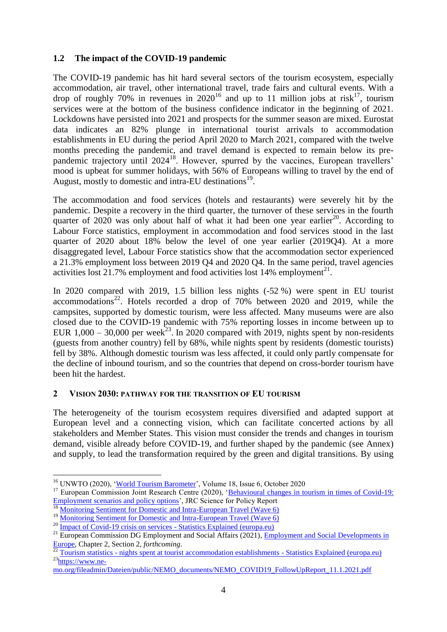# <span id="page-4-0"></span>**1.2 The impact of the COVID-19 pandemic**

The COVID-19 pandemic has hit hard several sectors of the tourism ecosystem, especially accommodation, air travel, other international travel, trade fairs and cultural events. With a drop of roughly 70% in revenues in  $2020^{16}$  and up to 11 million jobs at risk<sup>17</sup>, tourism services were at the bottom of the business confidence indicator in the beginning of 2021. Lockdowns have persisted into 2021 and prospects for the summer season are mixed. Eurostat data indicates an 82% plunge in international tourist arrivals to accommodation establishments in EU during the period April 2020 to March 2021, compared with the twelve months preceding the pandemic, and travel demand is expected to remain below its prepandemic trajectory until 2024<sup>18</sup>. However, spurred by the vaccines, European travellers' mood is upbeat for summer holidays, with 56% of Europeans willing to travel by the end of August, mostly to domestic and intra-EU destinations<sup>19</sup>.

The accommodation and food services (hotels and restaurants) were severely hit by the pandemic. Despite a recovery in the third quarter, the turnover of these services in the fourth quarter of  $2020$  was only about half of what it had been one year earlier<sup>20</sup>. According to Labour Force statistics, employment in accommodation and food services stood in the last quarter of 2020 about 18% below the level of one year earlier (2019Q4). At a more disaggregated level, Labour Force statistics show that the accommodation sector experienced a 21.3% employment loss between 2019 Q4 and 2020 Q4. In the same period, travel agencies activities lost  $21.7\%$  employment and food activities lost 14% employment<sup>21</sup>.

In 2020 compared with 2019, 1.5 billion less nights (-52 %) were spent in EU tourist accommodations<sup>22</sup>. Hotels recorded a drop of  $70\%$  between  $2020$  and  $2019$ , while the campsites, supported by domestic tourism, were less affected. Many museums were are also closed due to the COVID-19 pandemic with 75% reporting losses in income between up to EUR 1,000 – 30,000 per week<sup>23</sup>. In 2020 compared with 2019, nights spent by non-residents (guests from another country) fell by 68%, while nights spent by residents (domestic tourists) fell by 38%. Although domestic tourism was less affected, it could only partly compensate for the decline of inbound tourism, and so the countries that depend on cross-border tourism have been hit the hardest.

# <span id="page-4-1"></span>**2 VISION 2030: PATHWAY FOR THE TRANSITION OF EU TOURISM**

The heterogeneity of the tourism ecosystem requires diversified and adapted support at European level and a connecting vision, which can facilitate concerted actions by all stakeholders and Member States. This vision must consider the trends and changes in tourism demand, visible already before COVID-19, and further shaped by the pandemic (see Annex) and supply, to lead the transformation required by the green and digital transitions. By using

<sup>16</sup> UNWTO (2020), ['World Tourism Barometer'](https://doi.org/10.18111/wtobarometereng), Volume 18, Issue 6, October 2020

<sup>&</sup>lt;sup>17</sup> European Commission Joint Research Centre (2020), 'Behavioural changes in tourism in times of Covid-19: **[Employment scenarios and policy options'](http://publications.jrc.ec.europa.eu/repository/handle/JRC121262)**, JRC Science for Policy Report

<sup>&</sup>lt;sup>18</sup> [Monitoring Sentiment for Domestic and Intra-European Travel \(Wave 6\)](https://etc-corporate.org/reports/monitoring-sentiment-for-domestic-and-intra-european-travel-wave-6/)

<sup>&</sup>lt;sup>19</sup> [Monitoring Sentiment for Domestic and Intra-European Travel \(Wave 6\)](https://etc-corporate.org/reports/monitoring-sentiment-for-domestic-and-intra-european-travel-wave-6/)

<sup>&</sup>lt;sup>20</sup> [Impact of Covid-19 crisis on services -](https://ec.europa.eu/eurostat/statistics-explained/index.php?title=Impact_of_Covid-19_crisis_on_services#Development_of_services_turnover_in_the_fourth_quarter_of_2020) Statistics Explained (europa.eu)

<sup>&</sup>lt;sup>21</sup> European Commission DG Employment and Social Affairs (2021), *Employment and Social Developments in* [Europe,](https://ec.europa.eu/social/main.jsp?langId=en&catId=791&furtherNews=yes&newsId=9873) Chapter 2, Section 2, *forthcoming*.

 $^{22}$  Tourism statistics - [nights spent at tourist accommodation establishments -](https://ec.europa.eu/eurostat/statistics-explained/index.php?title=Tourism_statistics_-_nights_spent_at_tourist_accommodation_establishments) Statistics Explained (europa.eu)  $23$ [https://www.ne-](https://www.ne-mo.org/fileadmin/Dateien/public/NEMO_documents/NEMO_COVID19_FollowUpReport_11.1.2021.pdf)

[mo.org/fileadmin/Dateien/public/NEMO\\_documents/NEMO\\_COVID19\\_FollowUpReport\\_11.1.2021.pdf](https://www.ne-mo.org/fileadmin/Dateien/public/NEMO_documents/NEMO_COVID19_FollowUpReport_11.1.2021.pdf)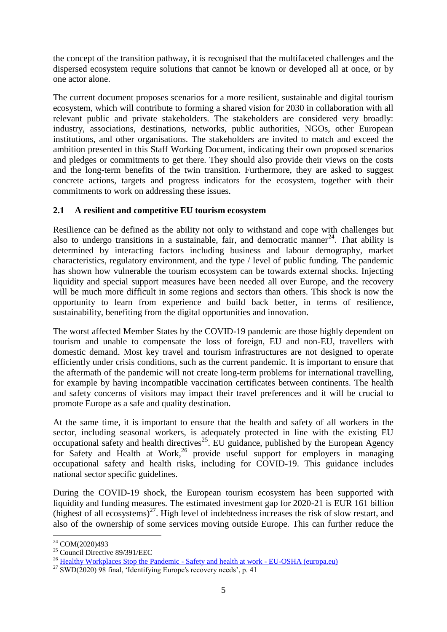the concept of the transition pathway, it is recognised that the multifaceted challenges and the dispersed ecosystem require solutions that cannot be known or developed all at once, or by one actor alone.

The current document proposes scenarios for a more resilient, sustainable and digital tourism ecosystem, which will contribute to forming a shared vision for 2030 in collaboration with all relevant public and private stakeholders. The stakeholders are considered very broadly: industry, associations, destinations, networks, public authorities, NGOs, other European institutions, and other organisations. The stakeholders are invited to match and exceed the ambition presented in this Staff Working Document, indicating their own proposed scenarios and pledges or commitments to get there. They should also provide their views on the costs and the long-term benefits of the twin transition. Furthermore, they are asked to suggest concrete actions, targets and progress indicators for the ecosystem, together with their commitments to work on addressing these issues.

# <span id="page-5-0"></span>**2.1 A resilient and competitive EU tourism ecosystem**

Resilience can be defined as the ability not only to withstand and cope with challenges but also to undergo transitions in a sustainable, fair, and democratic manner<sup>24</sup>. That ability is determined by interacting factors including business and labour demography, market characteristics, regulatory environment, and the type / level of public funding. The pandemic has shown how vulnerable the tourism ecosystem can be towards external shocks. Injecting liquidity and special support measures have been needed all over Europe, and the recovery will be much more difficult in some regions and sectors than others. This shock is now the opportunity to learn from experience and build back better, in terms of resilience, sustainability, benefiting from the digital opportunities and innovation.

The worst affected Member States by the COVID-19 pandemic are those highly dependent on tourism and unable to compensate the loss of foreign, EU and non-EU, travellers with domestic demand. Most key travel and tourism infrastructures are not designed to operate efficiently under crisis conditions, such as the current pandemic. It is important to ensure that the aftermath of the pandemic will not create long-term problems for international travelling, for example by having incompatible vaccination certificates between continents. The health and safety concerns of visitors may impact their travel preferences and it will be crucial to promote Europe as a safe and quality destination.

At the same time, it is important to ensure that the health and safety of all workers in the sector, including seasonal workers, is adequately protected in line with the existing EU occupational safety and health directives<sup>25</sup>. EU guidance, published by the European Agency for Safety and Health at Work, $26$  provide useful support for employers in managing occupational safety and health risks, including for COVID-19. This guidance includes national sector specific guidelines.

During the COVID-19 shock, the European tourism ecosystem has been supported with liquidity and funding measures. The estimated investment gap for 2020-21 is EUR 161 billion (highest of all ecosystems) $^{27}$ . High level of indebtedness increases the risk of slow restart, and also of the ownership of some services moving outside Europe. This can further reduce the

<sup>&</sup>lt;u>.</u> <sup>24</sup> COM(2020)493

<sup>25</sup> Council Directive 89/391/EEC

<sup>&</sup>lt;sup>26</sup> [Healthy Workplaces Stop the Pandemic -](https://osha.europa.eu/en/themes/covid-19-resources-workplace) Safety and health at work - EU-OSHA (europa.eu)

 $^{27}$  SWD(2020) 98 final, 'Identifying Europe's recovery needs', p. 41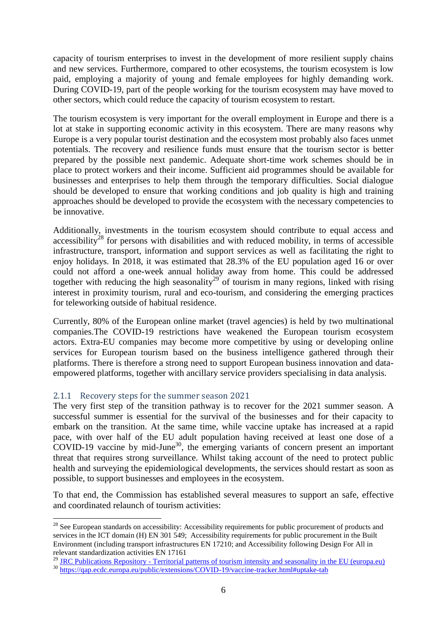capacity of tourism enterprises to invest in the development of more resilient supply chains and new services. Furthermore, compared to other ecosystems, the tourism ecosystem is low paid, employing a majority of young and female employees for highly demanding work. During COVID-19, part of the people working for the tourism ecosystem may have moved to other sectors, which could reduce the capacity of tourism ecosystem to restart.

The tourism ecosystem is very important for the overall employment in Europe and there is a lot at stake in supporting economic activity in this ecosystem. There are many reasons why Europe is a very popular tourist destination and the ecosystem most probably also faces unmet potentials. The recovery and resilience funds must ensure that the tourism sector is better prepared by the possible next pandemic. Adequate short-time work schemes should be in place to protect workers and their income. Sufficient aid programmes should be available for businesses and enterprises to help them through the temporary difficulties. Social dialogue should be developed to ensure that working conditions and job quality is high and training approaches should be developed to provide the ecosystem with the necessary competencies to be innovative.

Additionally, investments in the tourism ecosystem should contribute to equal access and accessibility<sup>28</sup> for persons with disabilities and with reduced mobility, in terms of accessible infrastructure, transport, information and support services as well as facilitating the right to enjoy holidays. In 2018, it was estimated that 28.3% of the EU population aged 16 or over could not afford a one-week annual holiday away from home. This could be addressed together with reducing the high seasonality<sup>29</sup> of tourism in many regions, linked with rising interest in proximity tourism, rural and eco-tourism, and considering the emerging practices for teleworking outside of habitual residence.

Currently, 80% of the European online market (travel agencies) is held by two multinational companies.The COVID-19 restrictions have weakened the European tourism ecosystem actors. Extra-EU companies may become more competitive by using or developing online services for European tourism based on the business intelligence gathered through their platforms. There is therefore a strong need to support European business innovation and dataempowered platforms, together with ancillary service providers specialising in data analysis.

# <span id="page-6-0"></span>2.1.1 Recovery steps for the summer season 2021

1

The very first step of the transition pathway is to recover for the 2021 summer season. A successful summer is essential for the survival of the businesses and for their capacity to embark on the transition. At the same time, while vaccine uptake has increased at a rapid pace, with over half of the EU adult population having received at least one dose of a COVID-19 vaccine by mid-June<sup>30</sup>, the emerging variants of concern present an important threat that requires strong surveillance. Whilst taking account of the need to protect public health and surveying the epidemiological developments, the services should restart as soon as possible, to support businesses and employees in the ecosystem.

To that end, the Commission has established several measures to support an safe, effective and coordinated relaunch of tourism activities:

<sup>&</sup>lt;sup>28</sup> See European standards on accessibility: Accessibility requirements for public procurement of products and services in the ICT domain (H) EN 301 549; Accessibility requirements for public procurement in the Built Environment (including transport infrastructures EN 17210; and Accessibility following Design For All in relevant standardization activities EN 17161

<sup>&</sup>lt;sup>29</sup> JRC Publications Repository - Territorial patterns of tourism [intensity and seasonality in the EU \(europa.eu\)](https://publications.jrc.ec.europa.eu/repository/handle/JRC117669)

<sup>&</sup>lt;sup>30</sup> <https://qap.ecdc.europa.eu/public/extensions/COVID-19/vaccine-tracker.html#uptake-tab>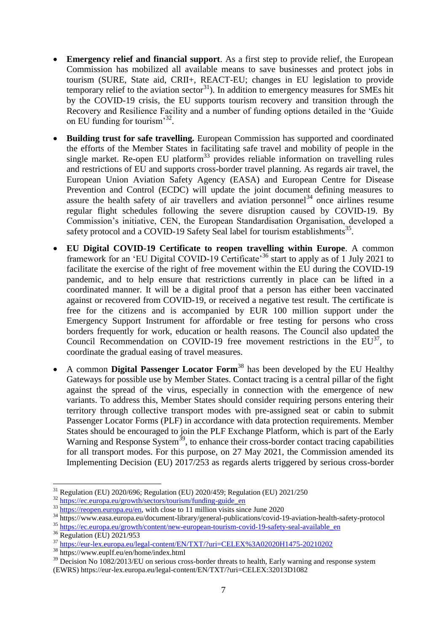- **Emergency relief and financial support**. As a first step to provide relief, the European Commission has mobilized all available means to save businesses and protect jobs in tourism (SURE, State aid, CRII+, REACT-EU; changes in EU legislation to provide temporary relief to the aviation sector<sup>31</sup>). In addition to emergency measures for SMEs hit by the COVID-19 crisis, the EU supports tourism recovery and transition through the Recovery and Resilience Facility and a number of funding options detailed in the 'Guide on EU funding for tourism'<sup>32</sup>.
- **Building trust for safe travelling.** European Commission has supported and coordinated the efforts of the Member States in facilitating safe travel and mobility of people in the single market. Re-open EU platform<sup>33</sup> provides reliable information on travelling rules and restrictions of EU and supports cross-border travel planning. As regards air travel, the European Union Aviation Safety Agency (EASA) and European Centre for Disease Prevention and Control (ECDC) will update the joint document defining measures to assure the health safety of air travellers and aviation personnel<sup>34</sup> once airlines resume regular flight schedules following the severe disruption caused by COVID-19. By Commission's initiative, CEN, the European Standardisation Organisation, developed a safety protocol and a COVID-19 Safety Seal label for tourism establishments<sup>35</sup>.
- **EU Digital COVID-19 Certificate to reopen travelling within Europe**. A common framework for an 'EU Digital COVID-19 Certificate<sup>36</sup> start to apply as of 1 July 2021 to facilitate the exercise of the right of free movement within the EU during the COVID-19 pandemic, and to help ensure that restrictions currently in place can be lifted in a coordinated manner. It will be a digital proof that a person has either been vaccinated against or recovered from COVID-19, or received a negative test result. The certificate is free for the citizens and is accompanied by EUR 100 million support under the Emergency Support Instrument for affordable or free testing for persons who cross borders frequently for work, education or health reasons. The Council also updated the Council Recommendation on COVID-19 free movement restrictions in the EU<sup>37</sup>, to coordinate the gradual easing of travel measures.
- A common **Digital Passenger Locator Form**<sup>38</sup> has been developed by the EU Healthy Gateways for possible use by Member States. Contact tracing is a central pillar of the fight against the spread of the virus, especially in connection with the emergence of new variants. To address this, Member States should consider requiring persons entering their territory through collective transport modes with pre-assigned seat or cabin to submit Passenger Locator Forms (PLF) in accordance with data protection requirements. Member States should be encouraged to join the PLF Exchange Platform, which is part of the Early Warning and Response System<sup>39</sup>, to enhance their cross-border contact tracing capabilities for all transport modes. For this purpose, on 27 May 2021, the Commission amended its Implementing Decision (EU) 2017/253 as regards alerts triggered by serious cross-border

<sup>1</sup>  $31$  Regulation (EU) 2020/696; Regulation (EU) 2020/459; Regulation (EU) 2021/250

 $32$  https://ec.europa.eu/growth/sectors/tourism/funding-guide\_en

 $\frac{33 \text{ https://reopen.eu/en, with close to 11 million visits since June 2020}}{33 \text{ https://reopen.eu/en, with close to 11 million visits since June 2020}}$ 

<sup>34</sup> https://www.easa.europa.eu/document-library/general-publications/covid-19-aviation-health-safety-protocol

<sup>&</sup>lt;sup>35</sup> https://ec.europa.eu/growth/<u>content/new-european-tourism-covid-19-safety-seal-available\_en</u>

<sup>36</sup> Regulation (EU) 2021/953

<sup>&</sup>lt;sup>37</sup> <https://eur-lex.europa.eu/legal-content/EN/TXT/?uri=CELEX%3A02020H1475-20210202>

<sup>38</sup> https://www.euplf.eu/en/home/index.html

<sup>&</sup>lt;sup>39</sup> Decision No 1082/2013/EU on serious cross-border threats to health, Early warning and response system

<sup>(</sup>EWRS) https://eur-lex.europa.eu/legal-content/EN/TXT/?uri=CELEX:32013D1082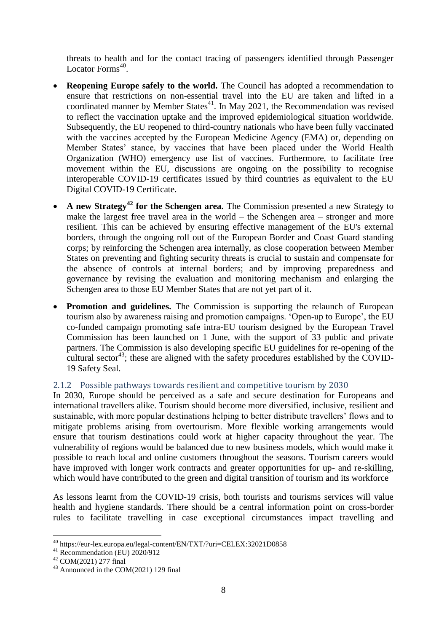threats to health and for the contact tracing of passengers identified through Passenger Locator Forms<sup>40</sup>.

- **Reopening Europe safely to the world.** The Council has adopted a recommendation to ensure that restrictions on non-essential travel into the EU are taken and lifted in a coordinated manner by Member States $41$ . In May 2021, the Recommendation was revised to reflect the vaccination uptake and the improved epidemiological situation worldwide. Subsequently, the EU reopened to third-country nationals who have been fully vaccinated with the vaccines accepted by the European Medicine Agency (EMA) or, depending on Member States' stance, by vaccines that have been placed under the World Health Organization (WHO) emergency use list of vaccines. Furthermore, to facilitate free movement within the EU, discussions are ongoing on the possibility to recognise interoperable COVID-19 certificates issued by third countries as equivalent to the EU Digital COVID-19 Certificate.
- **A new Strategy<sup>42</sup> for the Schengen area.** The Commission presented a new Strategy to make the largest free travel area in the world – the Schengen area – stronger and more resilient. This can be achieved by ensuring effective management of the EU's external borders, through the ongoing roll out of the European Border and Coast Guard standing corps; by reinforcing the Schengen area internally, as close cooperation between Member States on preventing and fighting security threats is crucial to sustain and compensate for the absence of controls at internal borders; and by improving preparedness and governance by revising the evaluation and monitoring mechanism and enlarging the Schengen area to those EU Member States that are not yet part of it.
- **Promotion and guidelines.** The Commission is supporting the relaunch of European tourism also by awareness raising and promotion campaigns. 'Open-up to Europe', the EU co-funded campaign promoting safe intra-EU tourism designed by the European Travel Commission has been launched on 1 June, with the support of 33 public and private partners. The Commission is also developing specific EU guidelines for re-opening of the cultural sector<sup>43</sup>; these are aligned with the safety procedures established by the COVID-19 Safety Seal.

# <span id="page-8-0"></span>2.1.2 Possible pathways towards resilient and competitive tourism by 2030

In 2030, Europe should be perceived as a safe and secure destination for Europeans and international travellers alike. Tourism should become more diversified, inclusive, resilient and sustainable, with more popular destinations helping to better distribute travellers' flows and to mitigate problems arising from overtourism. More flexible working arrangements would ensure that tourism destinations could work at higher capacity throughout the year. The vulnerability of regions would be balanced due to new business models, which would make it possible to reach local and online customers throughout the seasons. Tourism careers would have improved with longer work contracts and greater opportunities for up- and re-skilling, which would have contributed to the green and digital transition of tourism and its workforce

As lessons learnt from the COVID-19 crisis, both tourists and tourisms services will value health and hygiene standards. There should be a central information point on cross-border rules to facilitate travelling in case exceptional circumstances impact travelling and

<sup>40</sup> https://eur-lex.europa.eu/legal-content/EN/TXT/?uri=CELEX:32021D0858

 $41$  Recommendation (EU) 2020/912

<sup>42</sup> COM(2021) 277 final

<sup>43</sup> Announced in the COM(2021) 129 final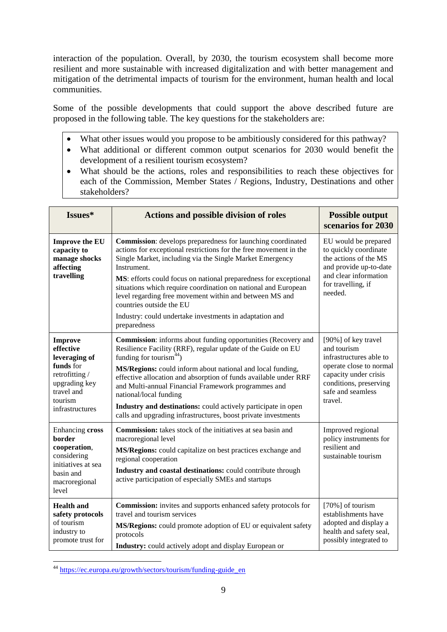interaction of the population. Overall, by 2030, the tourism ecosystem shall become more resilient and more sustainable with increased digitalization and with better management and mitigation of the detrimental impacts of tourism for the environment, human health and local communities.

Some of the possible developments that could support the above described future are proposed in the following table. The key questions for the stakeholders are:

- What other issues would you propose to be ambitiously considered for this pathway?
- What additional or different common output scenarios for 2030 would benefit the development of a resilient tourism ecosystem?
- What should be the actions, roles and responsibilities to reach these objectives for each of the Commission, Member States / Regions, Industry, Destinations and other stakeholders?

| Issues*                                                                                                                                 | <b>Actions and possible division of roles</b>                                                                                                                                                                                                                                                                                                                                                                                                                                                                                     |                                                                                                                                                                             |
|-----------------------------------------------------------------------------------------------------------------------------------------|-----------------------------------------------------------------------------------------------------------------------------------------------------------------------------------------------------------------------------------------------------------------------------------------------------------------------------------------------------------------------------------------------------------------------------------------------------------------------------------------------------------------------------------|-----------------------------------------------------------------------------------------------------------------------------------------------------------------------------|
| <b>Improve the EU</b><br>capacity to<br>manage shocks<br>affecting<br>travelling                                                        | <b>Commission:</b> develops preparedness for launching coordinated<br>actions for exceptional restrictions for the free movement in the<br>Single Market, including via the Single Market Emergency<br>Instrument.<br>MS: efforts could focus on national preparedness for exceptional<br>situations which require coordination on national and European<br>level regarding free movement within and between MS and<br>countries outside the EU<br>Industry: could undertake investments in adaptation and<br>preparedness        | EU would be prepared<br>to quickly coordinate<br>the actions of the MS<br>and provide up-to-date<br>and clear information<br>for travelling, if<br>needed.                  |
| <b>Improve</b><br>effective<br>leveraging of<br>funds for<br>retrofitting/<br>upgrading key<br>travel and<br>tourism<br>infrastructures | <b>Commission:</b> informs about funding opportunities (Recovery and<br>Resilience Facility (RRF), regular update of the Guide on EU<br>funding for tourism <sup>44</sup> )<br>MS/Regions: could inform about national and local funding,<br>effective allocation and absorption of funds available under RRF<br>and Multi-annual Financial Framework programmes and<br>national/local funding<br>Industry and destinations: could actively participate in open<br>calls and upgrading infrastructures, boost private investments | [90%] of key travel<br>and tourism<br>infrastructures able to<br>operate close to normal<br>capacity under crisis<br>conditions, preserving<br>safe and seamless<br>travel. |
| Enhancing cross<br>border<br>cooperation,<br>considering<br>initiatives at sea<br>basin and<br>macroregional<br>level                   | <b>Commission:</b> takes stock of the initiatives at sea basin and<br>macroregional level<br>MS/Regions: could capitalize on best practices exchange and<br>regional cooperation<br>Industry and coastal destinations: could contribute through<br>active participation of especially SMEs and startups                                                                                                                                                                                                                           | Improved regional<br>policy instruments for<br>resilient and<br>sustainable tourism                                                                                         |
| <b>Health</b> and<br>safety protocols<br>of tourism<br>industry to<br>promote trust for                                                 | <b>Commission:</b> invites and supports enhanced safety protocols for<br>travel and tourism services<br>MS/Regions: could promote adoption of EU or equivalent safety<br>protocols<br><b>Industry:</b> could actively adopt and display European or                                                                                                                                                                                                                                                                               | [70%] of tourism<br>establishments have<br>adopted and display a<br>health and safety seal,<br>possibly integrated to                                                       |

<sup>1</sup> <sup>44</sup> [https://ec.europa.eu/growth/sectors/tourism/funding-guide\\_en](https://ec.europa.eu/growth/sectors/tourism/funding-guide_en)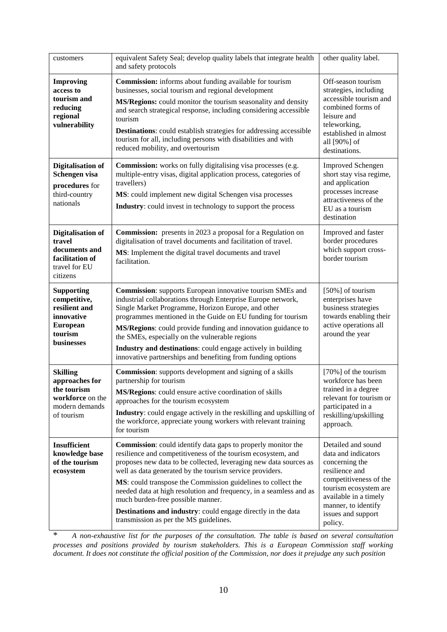| customers                                                                                                           | equivalent Safety Seal; develop quality labels that integrate health<br>and safety protocols                                                                                                                                                                                                                                                                                                                                                                                                                                                              | other quality label.                                                                                                                                                                                              |
|---------------------------------------------------------------------------------------------------------------------|-----------------------------------------------------------------------------------------------------------------------------------------------------------------------------------------------------------------------------------------------------------------------------------------------------------------------------------------------------------------------------------------------------------------------------------------------------------------------------------------------------------------------------------------------------------|-------------------------------------------------------------------------------------------------------------------------------------------------------------------------------------------------------------------|
| <b>Improving</b><br>access to<br>tourism and<br>reducing<br>regional<br>vulnerability                               | <b>Commission:</b> informs about funding available for tourism<br>businesses, social tourism and regional development<br>MS/Regions: could monitor the tourism seasonality and density<br>and search strategical response, including considering accessible<br>tourism<br><b>Destinations:</b> could establish strategies for addressing accessible<br>tourism for all, including persons with disabilities and with<br>reduced mobility, and overtourism                                                                                                 | Off-season tourism<br>strategies, including<br>accessible tourism and<br>combined forms of<br>leisure and<br>teleworking,<br>established in almost<br>all [90%] of<br>destinations.                               |
| <b>Digitalisation of</b><br>Schengen visa<br>procedures for<br>third-country<br>nationals                           | <b>Commission:</b> works on fully digitalising visa processes (e.g.<br>multiple-entry visas, digital application process, categories of<br>travellers)<br>MS: could implement new digital Schengen visa processes<br><b>Industry:</b> could invest in technology to support the process                                                                                                                                                                                                                                                                   | <b>Improved Schengen</b><br>short stay visa regime,<br>and application<br>processes increase<br>attractiveness of the<br>EU as a tourism<br>destination                                                           |
| <b>Digitalisation of</b><br>travel<br>documents and<br>facilitation of<br>travel for EU<br>citizens                 | <b>Commission:</b> presents in 2023 a proposal for a Regulation on<br>digitalisation of travel documents and facilitation of travel.<br>MS: Implement the digital travel documents and travel<br>facilitation.                                                                                                                                                                                                                                                                                                                                            | Improved and faster<br>border procedures<br>which support cross-<br>border tourism                                                                                                                                |
| <b>Supporting</b><br>competitive,<br>resilient and<br>innovative<br><b>European</b><br>tourism<br><b>businesses</b> | <b>Commission:</b> supports European innovative tourism SMEs and<br>industrial collaborations through Enterprise Europe network,<br>Single Market Programme, Horizon Europe, and other<br>programmes mentioned in the Guide on EU funding for tourism<br>MS/Regions: could provide funding and innovation guidance to<br>the SMEs, especially on the vulnerable regions<br>Industry and destinations: could engage actively in building<br>innovative partnerships and benefiting from funding options                                                    | [50%] of tourism<br>enterprises have<br>business strategies<br>towards enabling their<br>active operations all<br>around the year                                                                                 |
| <b>Skilling</b><br>approaches for<br>the tourism<br>workforce on the<br>modern demands<br>of tourism                | <b>Commission:</b> supports development and signing of a skills<br>partnership for tourism<br>MS/Regions: could ensure active coordination of skills<br>approaches for the tourism ecosystem<br><b>Industry:</b> could engage actively in the reskilling and upskilling of<br>the workforce, appreciate young workers with relevant training<br>for tourism                                                                                                                                                                                               | [70%] of the tourism<br>workforce has been<br>trained in a degree<br>relevant for tourism or<br>participated in a<br>reskilling/upskilling<br>approach.                                                           |
| <b>Insufficient</b><br>knowledge base<br>of the tourism<br>ecosystem                                                | <b>Commission:</b> could identify data gaps to properly monitor the<br>resilience and competitiveness of the tourism ecosystem, and<br>proposes new data to be collected, leveraging new data sources as<br>well as data generated by the tourism service providers.<br>MS: could transpose the Commission guidelines to collect the<br>needed data at high resolution and frequency, in a seamless and as<br>much burden-free possible manner.<br>Destinations and industry: could engage directly in the data<br>transmission as per the MS guidelines. | Detailed and sound<br>data and indicators<br>concerning the<br>resilience and<br>competitiveness of the<br>tourism ecosystem are<br>available in a timely<br>manner, to identify<br>issues and support<br>policy. |

\* *A non-exhaustive list for the purposes of the consultation. The table is based on several consultation processes and positions provided by tourism stakeholders. This is a European Commission staff working document. It does not constitute the official position of the Commission, nor does it prejudge any such position*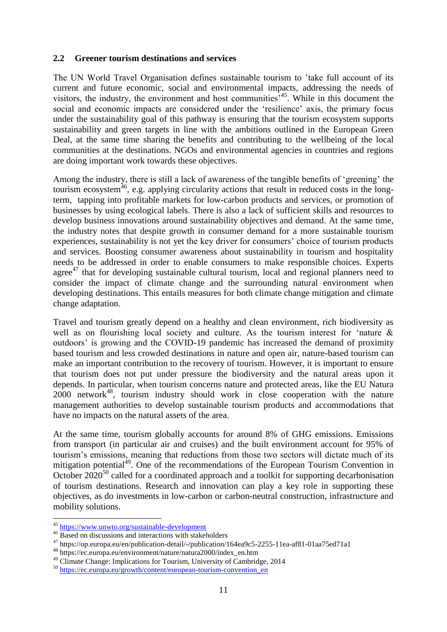### <span id="page-11-0"></span>**2.2 Greener tourism destinations and services**

The UN World Travel Organisation defines sustainable tourism to 'take full account of its current and future economic, social and environmental impacts, addressing the needs of visitors, the industry, the environment and host communities<sup> $545$ </sup>. While in this document the social and economic impacts are considered under the 'resilience' axis, the primary focus under the sustainability goal of this pathway is ensuring that the tourism ecosystem supports sustainability and green targets in line with the ambitions outlined in the European Green Deal, at the same time sharing the benefits and contributing to the wellbeing of the local communities at the destinations. NGOs and environmental agencies in countries and regions are doing important work towards these objectives.

Among the industry, there is still a lack of awareness of the tangible benefits of 'greening' the tourism ecosystem $46$ , e.g. applying circularity actions that result in reduced costs in the longterm, tapping into profitable markets for low-carbon products and services, or promotion of businesses by using ecological labels. There is also a lack of sufficient skills and resources to develop business innovations around sustainability objectives and demand. At the same time, the industry notes that despite growth in consumer demand for a more sustainable tourism experiences, sustainability is not yet the key driver for consumers' choice of tourism products and services. Boosting consumer awareness about sustainability in tourism and hospitality needs to be addressed in order to enable consumers to make responsible choices. Experts agree $^{47}$  that for developing sustainable cultural tourism, local and regional planners need to consider the impact of climate change and the surrounding natural environment when developing destinations. This entails measures for both climate change mitigation and climate change adaptation.

Travel and tourism greatly depend on a healthy and clean environment, rich biodiversity as well as on flourishing local society and culture. As the tourism interest for 'nature & outdoors' is growing and the COVID-19 pandemic has increased the demand of proximity based tourism and less crowded destinations in nature and open air, nature-based tourism can make an important contribution to the recovery of tourism. However, it is important to ensure that tourism does not put under pressure the biodiversity and the natural areas upon it depends. In particular, when tourism concerns nature and protected areas, like the EU Natura  $2000$  network<sup>48</sup>, tourism industry should work in close cooperation with the nature management authorities to develop sustainable tourism products and accommodations that have no impacts on the natural assets of the area.

At the same time, tourism globally accounts for around 8% of GHG emissions. Emissions from transport (in particular air and cruises) and the built environment account for 95% of tourism's emissions, meaning that reductions from those two sectors will dictate much of its mitigation potential<sup>49</sup>. One of the recommendations of the European Tourism Convention in October  $2020^{50}$  called for a coordinated approach and a toolkit for supporting decarbonisation of tourism destinations. Research and innovation can play a key role in supporting these objectives, as do investments in low-carbon or carbon-neutral construction, infrastructure and mobility solutions.

1

<sup>&</sup>lt;sup>45</sup> <https://www.unwto.org/sustainable-development>

<sup>&</sup>lt;sup>46</sup> Based on discussions and interactions with stakeholders

<sup>47</sup> https://op.europa.eu/en/publication-detail/-/publication/164ea9c5-2255-11ea-af81-01aa75ed71a1

<sup>48</sup> https://ec.europa.eu/environment/nature/natura2000/index\_en.htm

<sup>&</sup>lt;sup>49</sup> Climate Change: Implications for Tourism, University of Cambridge, 2014

<sup>50</sup> [https://ec.europa.eu/growth/content/european-tourism-convention\\_en](https://ec.europa.eu/growth/content/european-tourism-convention_en)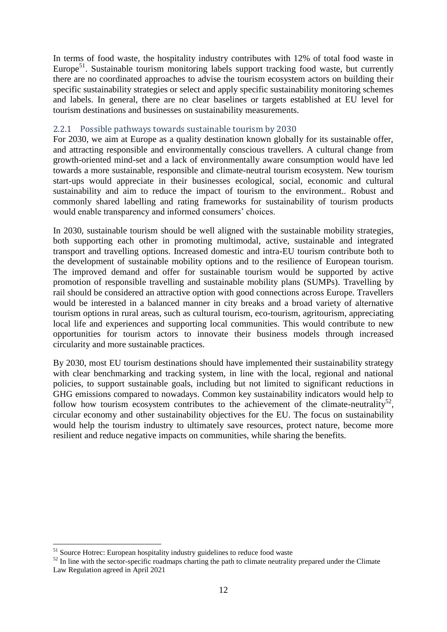In terms of food waste, the hospitality industry contributes with 12% of total food waste in Europe<sup>51</sup>. Sustainable tourism monitoring labels support tracking food waste, but currently there are no coordinated approaches to advise the tourism ecosystem actors on building their specific sustainability strategies or select and apply specific sustainability monitoring schemes and labels. In general, there are no clear baselines or targets established at EU level for tourism destinations and businesses on sustainability measurements.

### <span id="page-12-0"></span>2.2.1 Possible pathways towards sustainable tourism by 2030

For 2030, we aim at Europe as a quality destination known globally for its sustainable offer, and attracting responsible and environmentally conscious travellers. A cultural change from growth-oriented mind-set and a lack of environmentally aware consumption would have led towards a more sustainable, responsible and climate-neutral tourism ecosystem. New tourism start-ups would appreciate in their businesses ecological, social, economic and cultural sustainability and aim to reduce the impact of tourism to the environment.. Robust and commonly shared labelling and rating frameworks for sustainability of tourism products would enable transparency and informed consumers' choices.

In 2030, sustainable tourism should be well aligned with the sustainable mobility strategies, both supporting each other in promoting multimodal, active, sustainable and integrated transport and travelling options. Increased domestic and intra-EU tourism contribute both to the development of sustainable mobility options and to the resilience of European tourism. The improved demand and offer for sustainable tourism would be supported by active promotion of responsible travelling and sustainable mobility plans (SUMPs). Travelling by rail should be considered an attractive option with good connections across Europe. Travellers would be interested in a balanced manner in city breaks and a broad variety of alternative tourism options in rural areas, such as cultural tourism, eco-tourism, agritourism, appreciating local life and experiences and supporting local communities. This would contribute to new opportunities for tourism actors to innovate their business models through increased circularity and more sustainable practices.

By 2030, most EU tourism destinations should have implemented their sustainability strategy with clear benchmarking and tracking system, in line with the local, regional and national policies, to support sustainable goals, including but not limited to significant reductions in GHG emissions compared to nowadays. Common key sustainability indicators would help to follow how tourism ecosystem contributes to the achievement of the climate-neutrality<sup>52</sup>, circular economy and other sustainability objectives for the EU. The focus on sustainability would help the tourism industry to ultimately save resources, protect nature, become more resilient and reduce negative impacts on communities, while sharing the benefits.

1

<sup>&</sup>lt;sup>51</sup> Source Hotrec: European hospitality industry guidelines to reduce food waste

 $52$  In line with the sector-specific roadmaps charting the path to climate neutrality prepared under the Climate Law Regulation agreed in April 2021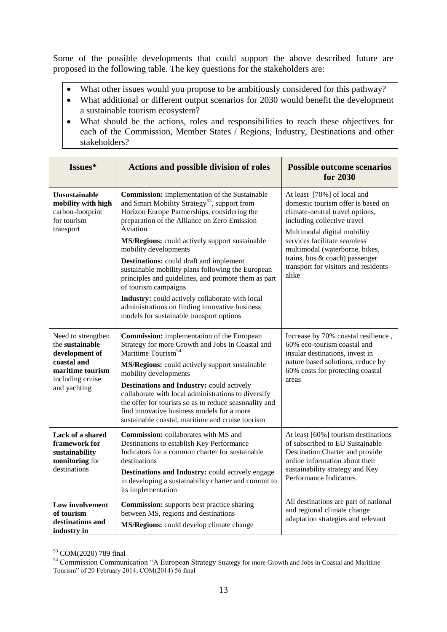Some of the possible developments that could support the above described future are proposed in the following table. The key questions for the stakeholders are:

- What other issues would you propose to be ambitiously considered for this pathway?
- What additional or different output scenarios for 2030 would benefit the development a sustainable tourism ecosystem?
- What should be the actions, roles and responsibilities to reach these objectives for each of the Commission, Member States / Regions, Industry, Destinations and other stakeholders?

| Issues*                                                                                                                        | <b>Actions and possible division of roles</b>                                                                                                                                                                                                                                                                                                                                                                                                                                                                                                                                                                                                  | <b>Possible outcome scenarios</b><br>for 2030                                                                                                                                                                                                                                                                           |
|--------------------------------------------------------------------------------------------------------------------------------|------------------------------------------------------------------------------------------------------------------------------------------------------------------------------------------------------------------------------------------------------------------------------------------------------------------------------------------------------------------------------------------------------------------------------------------------------------------------------------------------------------------------------------------------------------------------------------------------------------------------------------------------|-------------------------------------------------------------------------------------------------------------------------------------------------------------------------------------------------------------------------------------------------------------------------------------------------------------------------|
| <b>Unsustainable</b><br>mobility with high<br>carbon-footprint<br>for tourism<br>transport                                     | <b>Commission:</b> implementation of the Sustainable<br>and Smart Mobility Strategy <sup>53</sup> , support from<br>Horizon Europe Partnerships, considering the<br>preparation of the Alliance on Zero Emission<br>Aviation<br>MS/Regions: could actively support sustainable<br>mobility developments<br><b>Destinations:</b> could draft and implement<br>sustainable mobility plans following the European<br>principles and guidelines, and promote them as part<br>of tourism campaigns<br>Industry: could actively collaborate with local<br>administrations on finding innovative business<br>models for sustainable transport options | At least [70%] of local and<br>domestic tourism offer is based on<br>climate-neutral travel options,<br>including collective travel<br>Multimodal digital mobility<br>services facilitate seamless<br>multimodal (waterborne, bikes,<br>trains, bus & coach) passenger<br>transport for visitors and residents<br>alike |
| Need to strengthen<br>the sustainable<br>development of<br>coastal and<br>maritime tourism<br>including cruise<br>and yachting | <b>Commission:</b> implementation of the European<br>Strategy for more Growth and Jobs in Coastal and<br>Maritime Tourism <sup>54</sup><br>MS/Regions: could actively support sustainable<br>mobility developments<br>Destinations and Industry: could actively<br>collaborate with local administrations to diversify<br>the offer for tourists so as to reduce seasonality and<br>find innovative business models for a more<br>sustainable coastal, maritime and cruise tourism                                                                                                                                                             | Increase by 70% coastal resilience,<br>60% eco-tourism coastal and<br>insular destinations, invest in<br>nature based solutions, reduce by<br>60% costs for protecting coastal<br>areas                                                                                                                                 |
| Lack of a shared<br>framework for<br>sustainability<br>monitoring for<br>destinations                                          | <b>Commission:</b> collaborates with MS and<br>Destinations to establish Key Performance<br>Indicators for a common charter for sustainable<br>destinations<br>Destinations and Industry: could actively engage<br>in developing a sustainability charter and commit to<br>its implementation                                                                                                                                                                                                                                                                                                                                                  | At least [60%] tourism destinations<br>of subscribed to EU Sustainable<br>Destination Charter and provide<br>online information about their<br>sustainability strategy and Key<br>Performance Indicators                                                                                                                |
| Low involvement<br>of tourism<br>destinations and<br>industry in                                                               | <b>Commission:</b> supports best practice sharing<br>between MS, regions and destinations<br>MS/Regions: could develop climate change                                                                                                                                                                                                                                                                                                                                                                                                                                                                                                          | All destinations are part of national<br>and regional climate change<br>adaptation strategies and relevant                                                                                                                                                                                                              |

<sup>1</sup> <sup>53</sup> COM(2020) 789 final

<sup>54</sup> Commission Communication "A European Strategy Strategy for more Growth and Jobs in Coastal and Maritime Tourism" of 20 February 2014; COM(2014) 56 final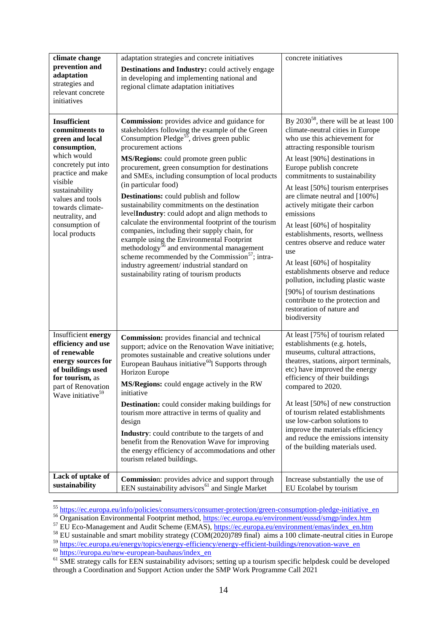| climate change<br>prevention and<br>adaptation<br>strategies and<br>relevant concrete<br>initiatives                                                                                                                                                            | adaptation strategies and concrete initiatives<br><b>Destinations and Industry:</b> could actively engage<br>in developing and implementing national and<br>regional climate adaptation initiatives                                                                                                                                                                                                                                                                                                                                                                                                                                                                                                                                                                                                                                                                                             | concrete initiatives                                                                                                                                                                                                                                                                                                                                                                                                                                                                                                                                                                                                                                                                                                  |
|-----------------------------------------------------------------------------------------------------------------------------------------------------------------------------------------------------------------------------------------------------------------|-------------------------------------------------------------------------------------------------------------------------------------------------------------------------------------------------------------------------------------------------------------------------------------------------------------------------------------------------------------------------------------------------------------------------------------------------------------------------------------------------------------------------------------------------------------------------------------------------------------------------------------------------------------------------------------------------------------------------------------------------------------------------------------------------------------------------------------------------------------------------------------------------|-----------------------------------------------------------------------------------------------------------------------------------------------------------------------------------------------------------------------------------------------------------------------------------------------------------------------------------------------------------------------------------------------------------------------------------------------------------------------------------------------------------------------------------------------------------------------------------------------------------------------------------------------------------------------------------------------------------------------|
| <b>Insufficient</b><br>commitments to<br>green and local<br>consumption,<br>which would<br>concretely put into<br>practice and make<br>visible<br>sustainability<br>values and tools<br>towards climate-<br>neutrality, and<br>consumption of<br>local products | <b>Commission:</b> provides advice and guidance for<br>stakeholders following the example of the Green<br>Consumption Pledge <sup>55</sup> , drives green public<br>procurement actions<br>MS/Regions: could promote green public<br>procurement, green consumption for destinations<br>and SMEs, including consumption of local products<br>(in particular food)<br><b>Destinations:</b> could publish and follow<br>sustainability commitments on the destination<br>levelIndustry: could adopt and align methods to<br>calculate the environmental footprint of the tourism<br>companies, including their supply chain, for<br>example using the Environmental Footprint<br>methodology <sup>56</sup> and environmental management<br>scheme recommended by the Commission <sup>57</sup> ; intra-<br>industry agreement/ industrial standard on<br>sustainability rating of tourism products | By $2030^{58}$ , there will be at least 100<br>climate-neutral cities in Europe<br>who use this achievement for<br>attracting responsible tourism<br>At least [90%] destinations in<br>Europe publish concrete<br>commitments to sustainability<br>At least [50%] tourism enterprises<br>are climate neutral and [100%]<br>actively mitigate their carbon<br>emissions<br>At least [60%] of hospitality<br>establishments, resorts, wellness<br>centres observe and reduce water<br>use<br>At least [60%] of hospitality<br>establishments observe and reduce<br>pollution, including plastic waste<br>[90%] of tourism destinations<br>contribute to the protection and<br>restoration of nature and<br>biodiversity |
| Insufficient energy<br>efficiency and use<br>of renewable<br>energy sources for<br>of buildings used<br>for tourism, as<br>part of Renovation<br>Wave initiative <sup>59</sup>                                                                                  | Commission: provides financial and technical<br>support; advice on the Renovation Wave initiative;<br>promotes sustainable and creative solutions under<br>European Bauhaus initiative <sup>60</sup> l Supports through<br>Horizon Europe<br>MS/Regions: could engage actively in the RW<br>initiative<br><b>Destination:</b> could consider making buildings for<br>tourism more attractive in terms of quality and<br>design<br><b>Industry:</b> could contribute to the targets of and<br>benefit from the Renovation Wave for improving<br>the energy efficiency of accommodations and other<br>tourism related buildings.                                                                                                                                                                                                                                                                  | At least [75%] of tourism related<br>establishments (e.g. hotels,<br>museums, cultural attractions,<br>theatres, stations, airport terminals,<br>etc) have improved the energy<br>efficiency of their buildings<br>compared to 2020.<br>At least [50%] of new construction<br>of tourism related establishments<br>use low-carbon solutions to<br>improve the materials efficiency<br>and reduce the emissions intensity<br>of the building materials used.                                                                                                                                                                                                                                                           |
| Lack of uptake of<br>sustainability                                                                                                                                                                                                                             | <b>Commission:</b> provides advice and support through<br>EEN sustainability advisors <sup>61</sup> and Single Market                                                                                                                                                                                                                                                                                                                                                                                                                                                                                                                                                                                                                                                                                                                                                                           | Increase substantially the use of<br>EU Ecolabel by tourism                                                                                                                                                                                                                                                                                                                                                                                                                                                                                                                                                                                                                                                           |

<sup>&</sup>lt;sup>55</sup> [https://ec.europa.eu/info/policies/consumers/consumer-protection/green-consumption-pledge-initiative\\_en](https://ec.europa.eu/info/policies/consumers/consumer-protection/green-consumption-pledge-initiative_en)

<sup>59</sup> [https://ec.europa.eu/energy/topics/energy-efficiency/energy-efficient-buildings/renovation-wave\\_en](https://ec.europa.eu/energy/topics/energy-efficiency/energy-efficient-buildings/renovation-wave_en)

<sup>60</sup> [https://europa.eu/new-european-bauhaus/index\\_en](https://europa.eu/new-european-bauhaus/index_en)

<sup>&</sup>lt;sup>56</sup> Organisation Environmental Footprint method,<https://ec.europa.eu/environment/eussd/smgp/index.htm>

<sup>&</sup>lt;sup>57</sup> EU Eco-Management and Audit Scheme (EMAS), [https://ec.europa.eu/environment/emas/index\\_en.htm](https://ec.europa.eu/environment/emas/index_en.htm)

 $58$  EU sustainable and smart mobility strategy (COM(2020)789 final) aims a 100 climate-neutral cities in Europe

<sup>&</sup>lt;sup>61</sup> SME strategy calls for EEN sustainability advisors; setting up a tourism specific helpdesk could be developed through a Coordination and Support Action under the SMP Work Programme Call 2021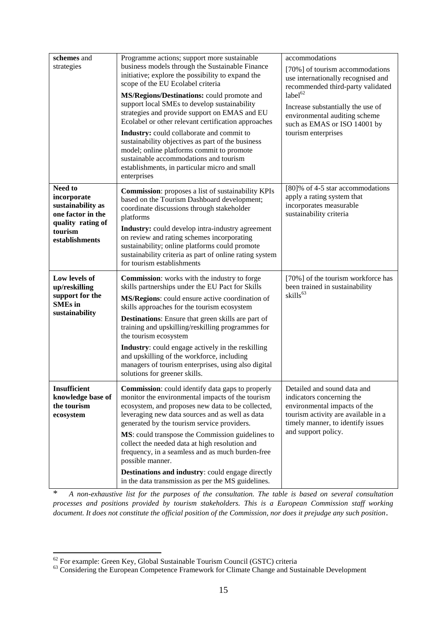| schemes and<br>strategies                                                                                          | Programme actions; support more sustainable<br>business models through the Sustainable Finance<br>initiative; explore the possibility to expand the<br>scope of the EU Ecolabel criteria<br>MS/Regions/Destinations: could promote and<br>support local SMEs to develop sustainability<br>strategies and provide support on EMAS and EU<br>Ecolabel or other relevant certification approaches<br>Industry: could collaborate and commit to<br>sustainability objectives as part of the business<br>model; online platforms commit to promote<br>sustainable accommodations and tourism<br>establishments, in particular micro and small<br>enterprises | accommodations<br>[70%] of tourism accommodations<br>use internationally recognised and<br>recommended third-party validated<br>label $^{62}$<br>Increase substantially the use of<br>environmental auditing scheme<br>such as EMAS or ISO 14001 by<br>tourism enterprises |
|--------------------------------------------------------------------------------------------------------------------|---------------------------------------------------------------------------------------------------------------------------------------------------------------------------------------------------------------------------------------------------------------------------------------------------------------------------------------------------------------------------------------------------------------------------------------------------------------------------------------------------------------------------------------------------------------------------------------------------------------------------------------------------------|----------------------------------------------------------------------------------------------------------------------------------------------------------------------------------------------------------------------------------------------------------------------------|
| Need to<br>incorporate<br>sustainability as<br>one factor in the<br>quality rating of<br>tourism<br>establishments | <b>Commission:</b> proposes a list of sustainability KPIs<br>based on the Tourism Dashboard development;<br>coordinate discussions through stakeholder<br>platforms<br>Industry: could develop intra-industry agreement<br>on review and rating schemes incorporating<br>sustainability; online platforms could promote<br>sustainability criteria as part of online rating system<br>for tourism establishments                                                                                                                                                                                                                                        | [80]% of 4-5 star accommodations<br>apply a rating system that<br>incorporates measurable<br>sustainability criteria                                                                                                                                                       |
| Low levels of<br>up/reskilling<br>support for the<br><b>SMEs</b> in<br>sustainability                              | <b>Commission:</b> works with the industry to forge<br>skills partnerships under the EU Pact for Skills<br>MS/Regions: could ensure active coordination of<br>skills approaches for the tourism ecosystem<br><b>Destinations:</b> Ensure that green skills are part of<br>training and upskilling/reskilling programmes for<br>the tourism ecosystem<br>Industry: could engage actively in the reskilling<br>and upskilling of the workforce, including<br>managers of tourism enterprises, using also digital<br>solutions for greener skills.                                                                                                         | [70%] of the tourism workforce has<br>been trained in sustainability<br>skills <sup>63</sup>                                                                                                                                                                               |
| Insufficient<br>knowledge base of<br>the tourism<br>ecosystem                                                      | <b>Commission:</b> could identify data gaps to properly<br>monitor the environmental impacts of the tourism<br>ecosystem, and proposes new data to be collected,<br>leveraging new data sources and as well as data<br>generated by the tourism service providers.<br>MS: could transpose the Commission guidelines to<br>collect the needed data at high resolution and<br>frequency, in a seamless and as much burden-free<br>possible manner.<br>Destinations and industry: could engage directly<br>in the data transmission as per the MS guidelines.                                                                                              | Detailed and sound data and<br>indicators concerning the<br>environmental impacts of the<br>tourism activity are available in a<br>timely manner, to identify issues<br>and support policy.                                                                                |

\* *A non-exhaustive list for the purposes of the consultation. The table is based on several consultation processes and positions provided by tourism stakeholders. This is a European Commission staff working document. It does not constitute the official position of the Commission, nor does it prejudge any such position*.

 $62$  For example: Green Key, Global Sustainable Tourism Council (GSTC) criteria

<sup>&</sup>lt;sup>63</sup> Considering the European Competence Framework for Climate Change and Sustainable Development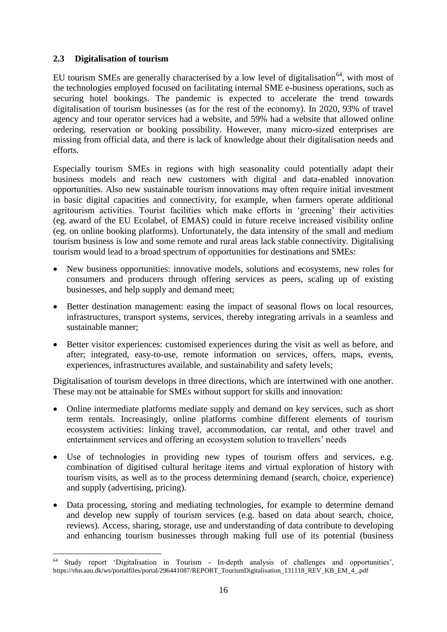# <span id="page-16-0"></span>**2.3 Digitalisation of tourism**

1

EU tourism SMEs are generally characterised by a low level of digitalisation<sup>64</sup>, with most of the technologies employed focused on facilitating internal SME e-business operations, such as securing hotel bookings. The pandemic is expected to accelerate the trend towards digitalisation of tourism businesses (as for the rest of the economy). In 2020, 93% of travel agency and tour operator services had a website, and 59% had a website that allowed online ordering, reservation or booking possibility. However, many micro-sized enterprises are missing from official data, and there is lack of knowledge about their digitalisation needs and efforts.

Especially tourism SMEs in regions with high seasonality could potentially adapt their business models and reach new customers with digital and data-enabled innovation opportunities. Also new sustainable tourism innovations may often require initial investment in basic digital capacities and connectivity, for example, when farmers operate additional agritourism activities. Tourist facilities which make efforts in 'greening' their activities (eg. award of the EU Ecolabel, of EMAS) could in future receive increased visibility online (eg. on online booking platforms). Unfortunately, the data intensity of the small and medium tourism business is low and some remote and rural areas lack stable connectivity. Digitalising tourism would lead to a broad spectrum of opportunities for destinations and SMEs:

- New business opportunities: innovative models, solutions and ecosystems, new roles for consumers and producers through offering services as peers, scaling up of existing businesses, and help supply and demand meet;
- Better destination management: easing the impact of seasonal flows on local resources, infrastructures, transport systems, services, thereby integrating arrivals in a seamless and sustainable manner;
- Better visitor experiences: customised experiences during the visit as well as before, and after; integrated, easy-to-use, remote information on services, offers, maps, events, experiences, infrastructures available, and sustainability and safety levels;

Digitalisation of tourism develops in three directions, which are intertwined with one another. These may not be attainable for SMEs without support for skills and innovation:

- Online intermediate platforms mediate supply and demand on key services, such as short term rentals. Increasingly, online platforms combine different elements of tourism ecosystem activities: linking travel, accommodation, car rental, and other travel and entertainment services and offering an ecosystem solution to travellers' needs
- Use of technologies in providing new types of tourism offers and services, e.g. combination of digitised cultural heritage items and virtual exploration of history with tourism visits, as well as to the process determining demand (search, choice, experience) and supply (advertising, pricing).
- Data processing, storing and mediating technologies, for example to determine demand and develop new supply of tourism services (e.g. based on data about search, choice, reviews). Access, sharing, storage, use and understanding of data contribute to developing and enhancing tourism businesses through making full use of its potential (business

<sup>64</sup> Study report 'Digitalisation in Tourism - In-depth analysis of challenges and opportunities', https://vbn.aau.dk/ws/portalfiles/portal/296441087/REPORT\_TourismDigitalisation\_131118\_REV\_KB\_EM\_4\_.pdf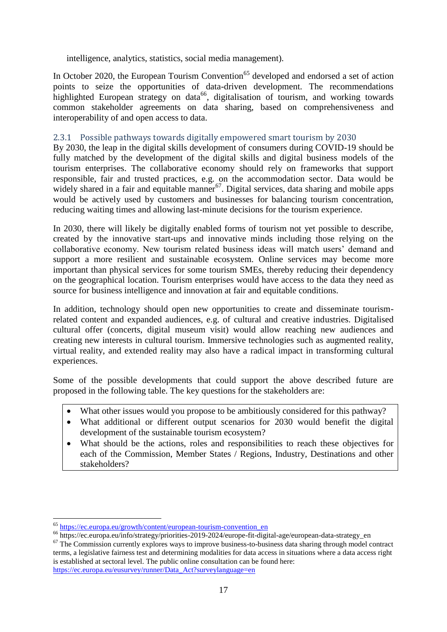intelligence, analytics, statistics, social media management).

In October 2020, the European Tourism Convention<sup>65</sup> developed and endorsed a set of action points to seize the opportunities of data-driven development. The recommendations highlighted European strategy on data<sup>66</sup>, digitalisation of tourism, and working towards common stakeholder agreements on data sharing, based on comprehensiveness and interoperability of and open access to data.

# <span id="page-17-0"></span>2.3.1 Possible pathways towards digitally empowered smart tourism by 2030

By 2030, the leap in the digital skills development of consumers during COVID-19 should be fully matched by the development of the digital skills and digital business models of the tourism enterprises. The collaborative economy should rely on frameworks that support responsible, fair and trusted practices, e.g. on the accommodation sector. Data would be widely shared in a fair and equitable manner<sup>67</sup>. Digital services, data sharing and mobile apps would be actively used by customers and businesses for balancing tourism concentration, reducing waiting times and allowing last-minute decisions for the tourism experience.

In 2030, there will likely be digitally enabled forms of tourism not yet possible to describe, created by the innovative start-ups and innovative minds including those relying on the collaborative economy. New tourism related business ideas will match users' demand and support a more resilient and sustainable ecosystem. Online services may become more important than physical services for some tourism SMEs, thereby reducing their dependency on the geographical location. Tourism enterprises would have access to the data they need as source for business intelligence and innovation at fair and equitable conditions.

In addition, technology should open new opportunities to create and disseminate tourismrelated content and expanded audiences, e.g. of cultural and creative industries. Digitalised cultural offer (concerts, digital museum visit) would allow reaching new audiences and creating new interests in cultural tourism. Immersive technologies such as augmented reality, virtual reality, and extended reality may also have a radical impact in transforming cultural experiences.

Some of the possible developments that could support the above described future are proposed in the following table. The key questions for the stakeholders are:

- What other issues would you propose to be ambitiously considered for this pathway?
- What additional or different output scenarios for 2030 would benefit the digital development of the sustainable tourism ecosystem?
- What should be the actions, roles and responsibilities to reach these objectives for each of the Commission, Member States / Regions, Industry, Destinations and other stakeholders?

1

<sup>65</sup> [https://ec.europa.eu/growth/content/european-tourism-convention\\_en](https://ec.europa.eu/growth/content/european-tourism-convention_en) 

<sup>&</sup>lt;sup>66</sup> https://ec.europa.eu/info/strategy/priorities-2019-2024/europe-fit-digital-age/european-data-strategy\_en

<sup>&</sup>lt;sup>67</sup> The Commission currently explores ways to improve business-to-business data sharing through model contract terms, a legislative fairness test and determining modalities for data access in situations where a data access right is established at sectoral level. The public online consultation can be found here: [https://ec.europa.eu/eusurvey/runner/Data\\_Act?surveylanguage=en](https://ec.europa.eu/eusurvey/runner/Data_Act?surveylanguage=en)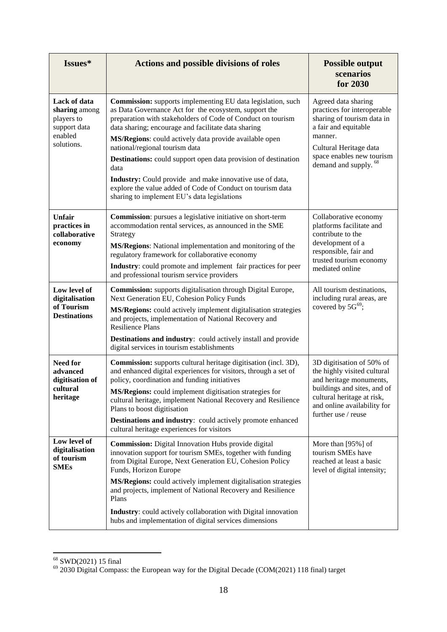| Issues*                                                                              | <b>Actions and possible divisions of roles</b>                                                                                                                                                                                                                                                                                                                                                                                                                                                                                                                                                          | <b>Possible output</b><br>scenarios<br>for 2030                                                                                                                                                                |
|--------------------------------------------------------------------------------------|---------------------------------------------------------------------------------------------------------------------------------------------------------------------------------------------------------------------------------------------------------------------------------------------------------------------------------------------------------------------------------------------------------------------------------------------------------------------------------------------------------------------------------------------------------------------------------------------------------|----------------------------------------------------------------------------------------------------------------------------------------------------------------------------------------------------------------|
| Lack of data<br>sharing among<br>players to<br>support data<br>enabled<br>solutions. | <b>Commission:</b> supports implementing EU data legislation, such<br>as Data Governance Act for the ecosystem, support the<br>preparation with stakeholders of Code of Conduct on tourism<br>data sharing; encourage and facilitate data sharing<br>MS/Regions: could actively data provide available open<br>national/regional tourism data<br><b>Destinations:</b> could support open data provision of destination<br>data<br>Industry: Could provide and make innovative use of data,<br>explore the value added of Code of Conduct on tourism data<br>sharing to implement EU's data legislations | Agreed data sharing<br>practices for interoperable<br>sharing of tourism data in<br>a fair and equitable<br>manner.<br>Cultural Heritage data<br>space enables new tourism<br>demand and supply. <sup>68</sup> |
| <b>Unfair</b><br>practices in<br>collaborative<br>economy                            | <b>Commission:</b> pursues a legislative initiative on short-term<br>accommodation rental services, as announced in the SME<br>Strategy<br>MS/Regions: National implementation and monitoring of the<br>regulatory framework for collaborative economy<br>Industry: could promote and implement fair practices for peer<br>and professional tourism service providers                                                                                                                                                                                                                                   | Collaborative economy<br>platforms facilitate and<br>contribute to the<br>development of a<br>responsible, fair and<br>trusted tourism economy<br>mediated online                                              |
| Low level of<br>digitalisation<br>of Tourism<br><b>Destinations</b>                  | Commission: supports digitalisation through Digital Europe,<br>Next Generation EU, Cohesion Policy Funds<br>MS/Regions: could actively implement digitalisation strategies<br>and projects, implementation of National Recovery and<br><b>Resilience Plans</b><br>Destinations and industry: could actively install and provide<br>digital services in tourism establishments                                                                                                                                                                                                                           | All tourism destinations,<br>including rural areas, are<br>covered by $5G^{69}$ ;                                                                                                                              |
| <b>Need for</b><br>advanced<br>digitisation of<br>cultural<br>heritage               | Commission: supports cultural heritage digitisation (incl. 3D),<br>and enhanced digital experiences for visitors, through a set of<br>policy, coordination and funding initiatives<br>MS/Regions: could implement digitisation strategies for<br>cultural heritage, implement National Recovery and Resilience<br>Plans to boost digitisation<br>Destinations and industry: could actively promote enhanced<br>cultural heritage experiences for visitors                                                                                                                                               | 3D digitisation of 50% of<br>the highly visited cultural<br>and heritage monuments,<br>buildings and sites, and of<br>cultural heritage at risk,<br>and online availability for<br>further use / reuse         |
| Low level of<br>digitalisation<br>of tourism<br><b>SMEs</b>                          | Commission: Digital Innovation Hubs provide digital<br>innovation support for tourism SMEs, together with funding<br>from Digital Europe, Next Generation EU, Cohesion Policy<br>Funds, Horizon Europe<br>MS/Regions: could actively implement digitalisation strategies<br>and projects, implement of National Recovery and Resilience<br>Plans<br><b>Industry:</b> could actively collaboration with Digital innovation<br>hubs and implementation of digital services dimensions                                                                                                                     | More than [95%] of<br>tourism SMEs have<br>reached at least a basic<br>level of digital intensity;                                                                                                             |

<sup>68</sup> SWD(2021) 15 final

 $69$  2030 Digital Compass: the European way for the Digital Decade (COM(2021) 118 final) target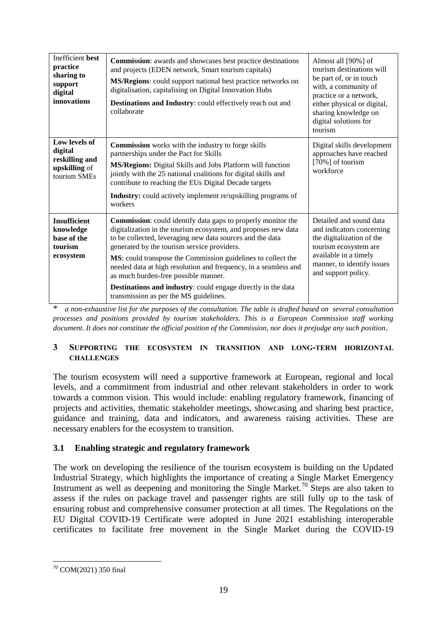| <b>Inefficient</b> best<br>practice<br>sharing to<br>support<br>digital<br>innovations | <b>Commission:</b> awards and showcases best practice destinations<br>and projects (EDEN network, Smart tourism capitals)<br>MS/Regions: could support national best practice networks on<br>digitalisation, capitalising on Digital Innovation Hubs<br>Destinations and Industry: could effectively reach out and<br>collaborate                                                                                                                                                                                                      | Almost all [90%] of<br>tourism destinations will<br>be part of, or in touch<br>with, a community of<br>practice or a network,<br>either physical or digital,<br>sharing knowledge on<br>digital solutions for<br>tourism |
|----------------------------------------------------------------------------------------|----------------------------------------------------------------------------------------------------------------------------------------------------------------------------------------------------------------------------------------------------------------------------------------------------------------------------------------------------------------------------------------------------------------------------------------------------------------------------------------------------------------------------------------|--------------------------------------------------------------------------------------------------------------------------------------------------------------------------------------------------------------------------|
| Low levels of<br>digital<br>reskilling and<br>upskilling of<br>tourism SMEs            | <b>Commission</b> works with the industry to forge skills<br>partnerships under the Pact for Skills<br>MS/Regions: Digital Skills and Jobs Platform will function<br>jointly with the 25 national coalitions for digital skills and<br>contribute to reaching the EUs Digital Decade targets<br><b>Industry:</b> could actively implement re/upskilling programs of<br>workers                                                                                                                                                         | Digital skills development<br>approaches have reached<br>[70%] of tourism<br>workforce                                                                                                                                   |
| <b>Insufficient</b><br>knowledge<br>base of the<br>tourism<br>ecosystem                | Commission: could identify data gaps to properly monitor the<br>digitalization in the tourism ecosystem, and proposes new data<br>to be collected, leveraging new data sources and the data<br>generated by the tourism service providers.<br>MS: could transpose the Commission guidelines to collect the<br>needed data at high resolution and frequency, in a seamless and<br>as much burden-free possible manner.<br><b>Destinations and industry:</b> could engage directly in the data<br>transmission as per the MS guidelines. | Detailed and sound data<br>and indicators concerning<br>the digitalization of the<br>tourism ecosystem are<br>available in a timely<br>manner, to identify issues<br>and support policy.                                 |

\* *a non-exhaustive list for the purposes of the consultation. The table is drafted based on several consultation processes and positions provided by tourism stakeholders. This is a European Commission staff working document. It does not constitute the official position of the Commission, nor does it prejudge any such position.*

### <span id="page-19-0"></span>**3 SUPPORTING THE ECOSYSTEM IN TRANSITION AND LONG-TERM HORIZONTAL CHALLENGES**

The tourism ecosystem will need a supportive framework at European, regional and local levels, and a commitment from industrial and other relevant stakeholders in order to work towards a common vision. This would include: enabling regulatory framework, financing of projects and activities, thematic stakeholder meetings, showcasing and sharing best practice, guidance and training, data and indicators, and awareness raising activities. These are necessary enablers for the ecosystem to transition.

# <span id="page-19-1"></span>**3.1 Enabling strategic and regulatory framework**

The work on developing the resilience of the tourism ecosystem is building on the Updated Industrial Strategy, which highlights the importance of creating a Single Market Emergency Instrument as well as deepening and monitoring the Single Market.<sup>70</sup> Steps are also taken to assess if the rules on package travel and passenger rights are still fully up to the task of ensuring robust and comprehensive consumer protection at all times. The Regulations on the EU Digital COVID-19 Certificate were adopted in June 2021 establishing interoperable certificates to facilitate free movement in the Single Market during the COVID-19

<sup>1</sup> <sup>70</sup> COM(2021) 350 final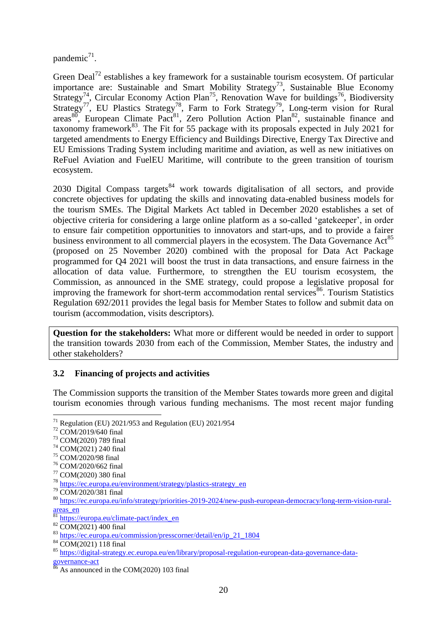pandemic<sup>71</sup>.

Green Deal<sup>72</sup> establishes a key framework for a sustainable tourism ecosystem. Of particular importance are: Sustainable and Smart Mobility Strategy<sup>73</sup>, Sustainable Blue Economy Strategy<sup>74</sup>, Circular Economy Action Plan<sup>75</sup>, Renovation Wave for buildings<sup>76</sup>, Biodiversity Strategy<sup>77</sup>, EU Plastics Strategy<sup>78</sup>, Farm to Fork Strategy<sup>79</sup>, Long-term vision for Rural areas $80$ , European Climate Pact<sup>81</sup>, Zero Pollution Action Plan<sup>82</sup>, sustainable finance and taxonomy framework<sup>83</sup>. The Fit for 55 package with its proposals expected in July 2021 for targeted amendments to Energy Efficiency and Buildings Directive, Energy Tax Directive and EU Emissions Trading System including maritime and aviation, as well as new initiatives on ReFuel Aviation and FuelEU Maritime, will contribute to the green transition of tourism ecosystem.

2030 Digital Compass targets $84$  work towards digitalisation of all sectors, and provide concrete objectives for updating the skills and innovating data-enabled business models for the tourism SMEs. The Digital Markets Act tabled in December 2020 establishes a set of objective criteria for considering a large online platform as a so-called 'gatekeeper', in order to ensure fair competition opportunities to innovators and start-ups, and to provide a fairer business environment to all commercial players in the ecosystem. The Data Governance Act<sup>85</sup> (proposed on 25 November 2020) combined with the proposal for Data Act Package programmed for Q4 2021 will boost the trust in data transactions, and ensure fairness in the allocation of data value. Furthermore, to strengthen the EU tourism ecosystem, the Commission, as announced in the SME strategy, could propose a legislative proposal for improving the framework for short-term accommodation rental services<sup>86</sup>. Tourism Statistics Regulation 692/2011 provides the legal basis for Member States to follow and submit data on tourism (accommodation, visits descriptors).

**Question for the stakeholders:** What more or different would be needed in order to support the transition towards 2030 from each of the Commission, Member States, the industry and other stakeholders?

# <span id="page-20-0"></span>**3.2 Financing of projects and activities**

The Commission supports the transition of the Member States towards more green and digital tourism economies through various funding mechanisms. The most recent major funding

1

<sup>74</sup> COM(2021) 240 final

<sup>76</sup> COM/2020/662 final

 $71$  Regulation (EU) 2021/953 and Regulation (EU) 2021/954

<sup>72</sup> COM/2019/640 final

<sup>73</sup> COM(2020) 789 final

<sup>75</sup> COM/2020/98 final

<sup>77</sup> COM(2020) 380 final

<sup>78</sup> [https://ec.europa.eu/environment/strategy/plastics-strategy\\_en](https://ec.europa.eu/environment/strategy/plastics-strategy_en)

<sup>79</sup> COM/2020/381 final

<sup>80</sup> [https://ec.europa.eu/info/strategy/priorities-2019-2024/new-push-european-democracy/long-term-vision-rural](https://ec.europa.eu/info/strategy/priorities-2019-2024/new-push-european-democracy/long-term-vision-rural-areas_en)[areas\\_en](https://ec.europa.eu/info/strategy/priorities-2019-2024/new-push-european-democracy/long-term-vision-rural-areas_en)

<sup>&</sup>lt;sup>81</sup> [https://europa.eu/climate-pact/index\\_en](https://europa.eu/climate-pact/index_en)

 $82 \overline{COM(2021)}$  400 final

<sup>83</sup> [https://ec.europa.eu/commission/presscorner/detail/en/ip\\_21\\_1804](https://ec.europa.eu/commission/presscorner/detail/en/ip_21_1804)

<sup>84</sup> COM(2021) 118 final

<sup>85</sup> [https://digital-strategy.ec.europa.eu/en/library/proposal-regulation-european-data-governance-data](https://digital-strategy.ec.europa.eu/en/library/proposal-regulation-european-data-governance-data-governance-act)[governance-act](https://digital-strategy.ec.europa.eu/en/library/proposal-regulation-european-data-governance-data-governance-act)

 $\frac{86}{10}$  As announced in the COM(2020) 103 final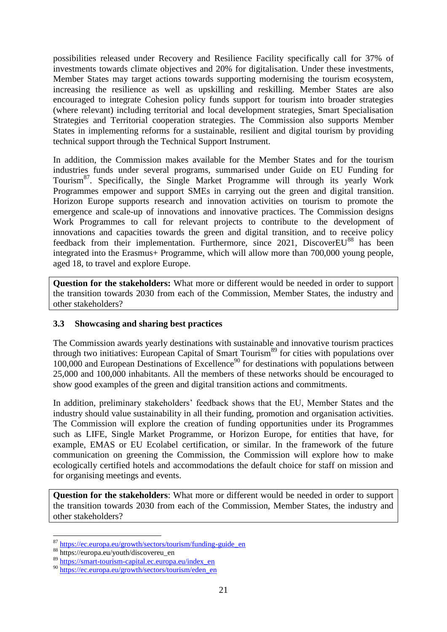possibilities released under Recovery and Resilience Facility specifically call for 37% of investments towards climate objectives and 20% for digitalisation. Under these investments, Member States may target actions towards supporting modernising the tourism ecosystem, increasing the resilience as well as upskilling and reskilling. Member States are also encouraged to integrate Cohesion policy funds support for tourism into broader strategies (where relevant) including territorial and local development strategies, Smart Specialisation Strategies and Territorial cooperation strategies. The Commission also supports Member States in implementing reforms for a sustainable, resilient and digital tourism by providing technical support through the Technical Support Instrument.

In addition, the Commission makes available for the Member States and for the tourism industries funds under several programs, summarised under Guide on EU Funding for Tourism<sup>87</sup>. Specifically, the Single Market Programme will through its yearly Work Programmes empower and support SMEs in carrying out the green and digital transition. Horizon Europe supports research and innovation activities on tourism to promote the emergence and scale-up of innovations and innovative practices. The Commission designs Work Programmes to call for relevant projects to contribute to the development of innovations and capacities towards the green and digital transition, and to receive policy  $feedback from their implementation. Furthermore, since 2021, Discovery  $88$  has been$ integrated into the Erasmus+ Programme, which will allow more than 700,000 young people, aged 18, to travel and explore Europe.

**Question for the stakeholders:** What more or different would be needed in order to support the transition towards 2030 from each of the Commission, Member States, the industry and other stakeholders?

# <span id="page-21-0"></span>**3.3 Showcasing and sharing best practices**

The Commission awards yearly destinations with sustainable and innovative tourism practices through two initiatives: European Capital of Smart Tourism<sup>89</sup> for cities with populations over  $100,000$  and European Destinations of Excellence<sup>90</sup> for destinations with populations between 25,000 and 100,000 inhabitants. All the members of these networks should be encouraged to show good examples of the green and digital transition actions and commitments.

In addition, preliminary stakeholders' feedback shows that the EU, Member States and the industry should value sustainability in all their funding, promotion and organisation activities. The Commission will explore the creation of funding opportunities under its Programmes such as LIFE, Single Market Programme, or Horizon Europe, for entities that have, for example, EMAS or EU Ecolabel certification, or similar. In the framework of the future communication on greening the Commission, the Commission will explore how to make ecologically certified hotels and accommodations the default choice for staff on mission and for organising meetings and events.

**Question for the stakeholders**: What more or different would be needed in order to support the transition towards 2030 from each of the Commission, Member States, the industry and other stakeholders?

<sup>87</sup> [https://ec.europa.eu/growth/sectors/tourism/funding-guide\\_en](https://ec.europa.eu/growth/sectors/tourism/funding-guide_en)

<sup>88</sup> https://europa.eu/youth/discovereu\_en

<sup>89</sup> [https://smart-tourism-capital.ec.europa.eu/index\\_en](https://smart-tourism-capital.ec.europa.eu/index_en)

<sup>90</sup> [https://ec.europa.eu/growth/sectors/tourism/eden\\_en](https://ec.europa.eu/growth/sectors/tourism/eden_en)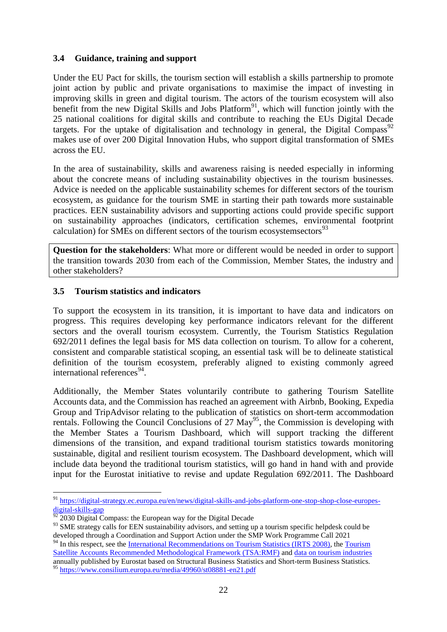# <span id="page-22-0"></span>**3.4 Guidance, training and support**

Under the EU Pact for skills, the tourism section will establish a skills partnership to promote joint action by public and private organisations to maximise the impact of investing in improving skills in green and digital tourism. The actors of the tourism ecosystem will also benefit from the new Digital Skills and Jobs Platform<sup>91</sup>, which will function jointly with the 25 national coalitions for digital skills and contribute to reaching the EUs Digital Decade targets. For the uptake of digitalisation and technology in general, the Digital Compass<sup>92</sup> makes use of over 200 Digital Innovation Hubs, who support digital transformation of SMEs across the EU.

In the area of sustainability, skills and awareness raising is needed especially in informing about the concrete means of including sustainability objectives in the tourism businesses. Advice is needed on the applicable sustainability schemes for different sectors of the tourism ecosystem, as guidance for the tourism SME in starting their path towards more sustainable practices. EEN sustainability advisors and supporting actions could provide specific support on sustainability approaches (indicators, certification schemes, environmental footprint calculation) for SMEs on different sectors of the tourism ecosystemsectors $93$ 

**Question for the stakeholders**: What more or different would be needed in order to support the transition towards 2030 from each of the Commission, Member States, the industry and other stakeholders?

### <span id="page-22-1"></span>**3.5 Tourism statistics and indicators**

To support the ecosystem in its transition, it is important to have data and indicators on progress. This requires developing key performance indicators relevant for the different sectors and the overall tourism ecosystem. Currently, the Tourism Statistics Regulation 692/2011 defines the legal basis for MS data collection on tourism. To allow for a coherent, consistent and comparable statistical scoping, an essential task will be to delineate statistical definition of the tourism ecosystem, preferably aligned to existing commonly agreed international references<sup>94</sup>.

Additionally, the Member States voluntarily contribute to gathering Tourism Satellite Accounts data, and the Commission has reached an agreement with Airbnb, Booking, Expedia Group and TripAdvisor relating to the publication of statistics on short-term accommodation rentals. Following the Council Conclusions of 27  $\text{May}^{95}$ , the Commission is developing with the Member States a Tourism Dashboard, which will support tracking the different dimensions of the transition, and expand traditional tourism statistics towards monitoring sustainable, digital and resilient tourism ecosystem. The Dashboard development, which will include data beyond the traditional tourism statistics, will go hand in hand with and provide input for the Eurostat initiative to revise and update Regulation 692/2011. The Dashboard

1

<sup>&</sup>lt;sup>91</sup> https://digital-strategy.ec.europa.eu/en/news/digital-skills-and-jobs-platform-one-stop-shop-close-europesdigital-skills-gap

 $92$  2030 Digital Compass: the European way for the Digital Decade

<sup>&</sup>lt;sup>93</sup> SME strategy calls for EEN sustainability advisors, and setting up a tourism specific helpdesk could be developed through a Coordination and Support Action under the SMP Work Programme Call 2021

<sup>&</sup>lt;sup>94</sup> In this respect, see the [International Recommendations on Tourism Statistics \(IRTS 2008\),](https://unstats.un.org/unsd/publication/Seriesm/SeriesM_83rev1e.pdf) the Tourism [Satellite Accounts Recommended Methodological Framework \(TSA:RMF\)](file://net1.cec.eu.int/ESTAT/G/2/Tourism/MEETINGS/2021/TF20210702/Tourism%20Satellite%20Accounts%20Recommended%20Methodological%20Framework%20(TSA:RMF)) and [data on tourism industries](https://ec.europa.eu/eurostat/statistics-explained/index.php?title=Tourism_industries_-_economic_analysis#Data_sources)

annually published by Eurostat based on Structural Business Statistics and Short-term Business Statistics. <sup>95</sup> <https://www.consilium.europa.eu/media/49960/st08881-en21.pdf>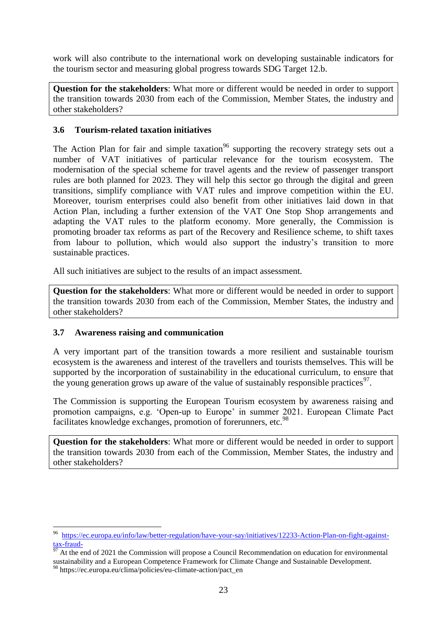work will also contribute to the international work on developing sustainable indicators for the tourism sector and measuring global progress towards SDG Target 12.b.

**Question for the stakeholders**: What more or different would be needed in order to support the transition towards 2030 from each of the Commission, Member States, the industry and other stakeholders?

### <span id="page-23-0"></span>**3.6 Tourism-related taxation initiatives**

The Action Plan for fair and simple taxation<sup>96</sup> supporting the recovery strategy sets out a number of VAT initiatives of particular relevance for the tourism ecosystem. The modernisation of the special scheme for travel agents and the review of passenger transport rules are both planned for 2023. They will help this sector go through the digital and green transitions, simplify compliance with VAT rules and improve competition within the EU. Moreover, tourism enterprises could also benefit from other initiatives laid down in that Action Plan, including a further extension of the VAT One Stop Shop arrangements and adapting the VAT rules to the platform economy. More generally, the Commission is promoting broader tax reforms as part of the Recovery and Resilience scheme, to shift taxes from labour to pollution, which would also support the industry's transition to more sustainable practices.

All such initiatives are subject to the results of an impact assessment.

**Question for the stakeholders**: What more or different would be needed in order to support the transition towards 2030 from each of the Commission, Member States, the industry and other stakeholders?

# <span id="page-23-1"></span>**3.7 Awareness raising and communication**

A very important part of the transition towards a more resilient and sustainable tourism ecosystem is the awareness and interest of the travellers and tourists themselves. This will be supported by the incorporation of sustainability in the educational curriculum, to ensure that the young generation grows up aware of the value of sustainably responsible practices<sup>97</sup>.

The Commission is supporting the European Tourism ecosystem by awareness raising and promotion campaigns, e.g. 'Open-up to Europe' in summer 2021. European Climate Pact facilitates knowledge exchanges, promotion of forerunners, etc.<sup>98</sup>

**Question for the stakeholders**: What more or different would be needed in order to support the transition towards 2030 from each of the Commission, Member States, the industry and other stakeholders?

 96 [https://ec.europa.eu/info/law/better-regulation/have-your-say/initiatives/12233-Action-Plan-on-fight-against-](https://ec.europa.eu/info/law/better-regulation/have-your-say/initiatives/12233-Action-Plan-on-fight-against-tax-fraud-) $\frac{\text{tax-fraud}}{97}$ 

At the end of 2021 the Commission will propose a Council Recommendation on education for environmental sustainability and a European Competence Framework for Climate Change and Sustainable Development.

<sup>98</sup> https://ec.europa.eu/clima/policies/eu-climate-action/pact\_en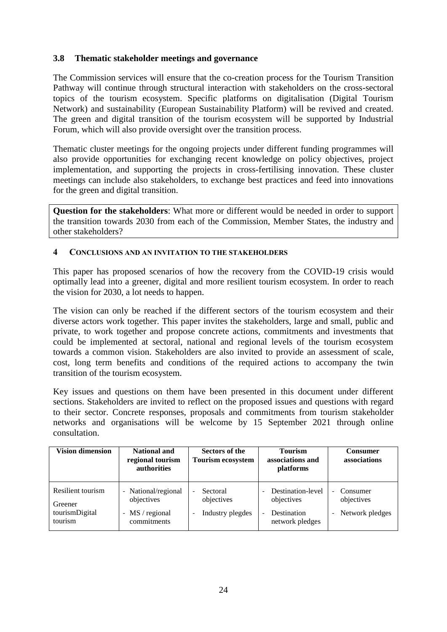# <span id="page-24-0"></span>**3.8 Thematic stakeholder meetings and governance**

The Commission services will ensure that the co-creation process for the Tourism Transition Pathway will continue through structural interaction with stakeholders on the cross-sectoral topics of the tourism ecosystem. Specific platforms on digitalisation (Digital Tourism Network) and sustainability (European Sustainability Platform) will be revived and created. The green and digital transition of the tourism ecosystem will be supported by Industrial Forum, which will also provide oversight over the transition process.

Thematic cluster meetings for the ongoing projects under different funding programmes will also provide opportunities for exchanging recent knowledge on policy objectives, project implementation, and supporting the projects in cross-fertilising innovation. These cluster meetings can include also stakeholders, to exchange best practices and feed into innovations for the green and digital transition.

**Question for the stakeholders**: What more or different would be needed in order to support the transition towards 2030 from each of the Commission, Member States, the industry and other stakeholders?

#### <span id="page-24-1"></span>**4 CONCLUSIONS AND AN INVITATION TO THE STAKEHOLDERS**

This paper has proposed scenarios of how the recovery from the COVID-19 crisis would optimally lead into a greener, digital and more resilient tourism ecosystem. In order to reach the vision for 2030, a lot needs to happen.

The vision can only be reached if the different sectors of the tourism ecosystem and their diverse actors work together. This paper invites the stakeholders, large and small, public and private, to work together and propose concrete actions, commitments and investments that could be implemented at sectoral, national and regional levels of the tourism ecosystem towards a common vision. Stakeholders are also invited to provide an assessment of scale, cost, long term benefits and conditions of the required actions to accompany the twin transition of the tourism ecosystem.

Key issues and questions on them have been presented in this document under different sections. Stakeholders are invited to reflect on the proposed issues and questions with regard to their sector. Concrete responses, proposals and commitments from tourism stakeholder networks and organisations will be welcome by 15 September 2021 through online consultation.

| <b>Vision dimension</b>                                   | <b>National and</b><br>regional tourism<br>authorities                                        | Sectors of the<br><b>Tourism ecosystem</b>                                                         | <b>Tourism</b><br>associations and<br>platforms                   | <b>Consumer</b><br>associations                                                                   |
|-----------------------------------------------------------|-----------------------------------------------------------------------------------------------|----------------------------------------------------------------------------------------------------|-------------------------------------------------------------------|---------------------------------------------------------------------------------------------------|
| Resilient tourism<br>Greener<br>tourismDigital<br>tourism | - National/regional<br>objectives<br>MS / regional<br>$\overline{\phantom{0}}$<br>commitments | Sectoral<br>$\overline{\phantom{0}}$<br>objectives<br>Industry plegdes<br>$\overline{\phantom{0}}$ | Destination-level<br>objectives<br>Destination<br>network pledges | Consumer<br>$\overline{\phantom{0}}$<br>objectives<br>Network pledges<br>$\overline{\phantom{0}}$ |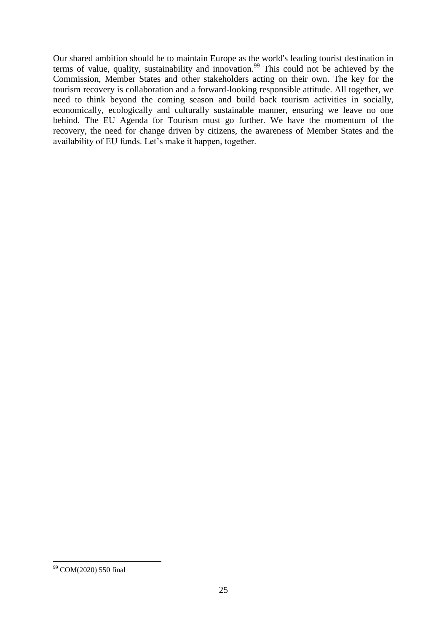Our shared ambition should be to maintain Europe as the world's leading tourist destination in terms of value, quality, sustainability and innovation.<sup>99</sup> This could not be achieved by the Commission, Member States and other stakeholders acting on their own. The key for the tourism recovery is collaboration and a forward-looking responsible attitude. All together, we need to think beyond the coming season and build back tourism activities in socially, economically, ecologically and culturally sustainable manner, ensuring we leave no one behind. The EU Agenda for Tourism must go further. We have the momentum of the recovery, the need for change driven by citizens, the awareness of Member States and the availability of EU funds. Let's make it happen, together.

<sup>1</sup> <sup>99</sup> COM(2020) 550 final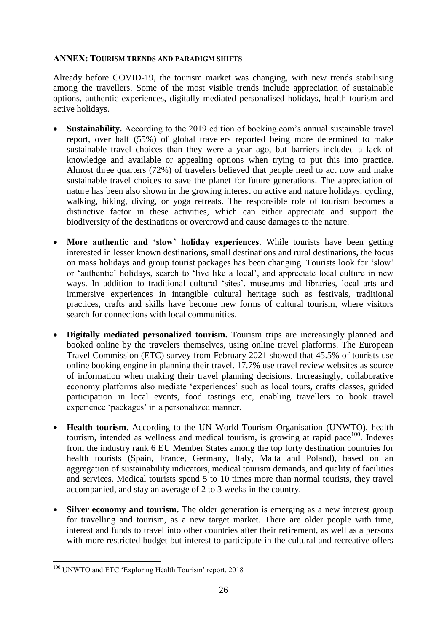### <span id="page-26-0"></span>**ANNEX: TOURISM TRENDS AND PARADIGM SHIFTS**

Already before COVID-19, the tourism market was changing, with new trends stabilising among the travellers. Some of the most visible trends include appreciation of sustainable options, authentic experiences, digitally mediated personalised holidays, health tourism and active holidays.

- **Sustainability.** According to the 2019 edition of booking.com's annual sustainable travel report, over half (55%) of global travelers reported being more determined to make sustainable travel choices than they were a year ago, but barriers included a lack of knowledge and available or appealing options when trying to put this into practice. Almost three quarters (72%) of travelers believed that people need to act now and make sustainable travel choices to save the planet for future generations. The appreciation of nature has been also shown in the growing interest on active and nature holidays: cycling, walking, hiking, diving, or yoga retreats. The responsible role of tourism becomes a distinctive factor in these activities, which can either appreciate and support the biodiversity of the destinations or overcrowd and cause damages to the nature.
- **More authentic and 'slow' holiday experiences**. While tourists have been getting interested in lesser known destinations, small destinations and rural destinations, the focus on mass holidays and group tourist packages has been changing. Tourists look for 'slow' or 'authentic' holidays, search to 'live like a local', and appreciate local culture in new ways. In addition to traditional cultural 'sites', museums and libraries, local arts and immersive experiences in intangible cultural heritage such as festivals, traditional practices, crafts and skills have become new forms of cultural tourism, where visitors search for connections with local communities.
- **Digitally mediated personalized tourism.** Tourism trips are increasingly planned and booked online by the travelers themselves, using online travel platforms. The European Travel Commission (ETC) survey from February 2021 showed that 45.5% of tourists use online booking engine in planning their travel. 17.7% use travel review websites as source of information when making their travel planning decisions. Increasingly, collaborative economy platforms also mediate 'experiences' such as local tours, crafts classes, guided participation in local events, food tastings etc, enabling travellers to book travel experience 'packages' in a personalized manner.
- **Health tourism**. According to the UN World Tourism Organisation (UNWTO), health tourism, intended as wellness and medical tourism, is growing at rapid pace<sup>100</sup>. Indexes from the industry rank 6 EU Member States among the top forty destination countries for health tourists (Spain, France, Germany, Italy, Malta and Poland), based on an aggregation of sustainability indicators, medical tourism demands, and quality of facilities and services. Medical tourists spend 5 to 10 times more than normal tourists, they travel accompanied, and stay an average of 2 to 3 weeks in the country.
- Silver economy and tourism. The older generation is emerging as a new interest group for travelling and tourism, as a new target market. There are older people with time, interest and funds to travel into other countries after their retirement, as well as a persons with more restricted budget but interest to participate in the cultural and recreative offers

<sup>1</sup> <sup>100</sup> UNWTO and ETC 'Exploring Health Tourism' report, 2018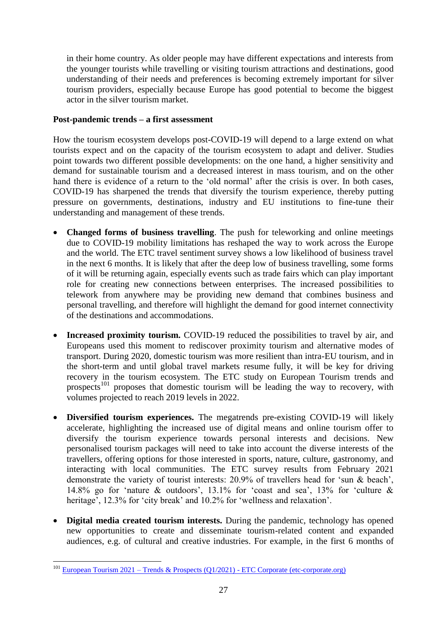in their home country. As older people may have different expectations and interests from the younger tourists while travelling or visiting tourism attractions and destinations, good understanding of their needs and preferences is becoming extremely important for silver tourism providers, especially because Europe has good potential to become the biggest actor in the silver tourism market.

# **Post-pandemic trends – a first assessment**

How the tourism ecosystem develops post-COVID-19 will depend to a large extend on what tourists expect and on the capacity of the tourism ecosystem to adapt and deliver. Studies point towards two different possible developments: on the one hand, a higher sensitivity and demand for sustainable tourism and a decreased interest in mass tourism, and on the other hand there is evidence of a return to the 'old normal' after the crisis is over. In both cases, COVID-19 has sharpened the trends that diversify the tourism experience, thereby putting pressure on governments, destinations, industry and EU institutions to fine-tune their understanding and management of these trends.

- **Changed forms of business travelling**. The push for teleworking and online meetings due to COVID-19 mobility limitations has reshaped the way to work across the Europe and the world. The ETC travel sentiment survey shows a low likelihood of business travel in the next 6 months. It is likely that after the deep low of business travelling, some forms of it will be returning again, especially events such as trade fairs which can play important role for creating new connections between enterprises. The increased possibilities to telework from anywhere may be providing new demand that combines business and personal travelling, and therefore will highlight the demand for good internet connectivity of the destinations and accommodations.
- **Increased proximity tourism.** COVID-19 reduced the possibilities to travel by air, and Europeans used this moment to rediscover proximity tourism and alternative modes of transport. During 2020, domestic tourism was more resilient than intra-EU tourism, and in the short-term and until global travel markets resume fully, it will be key for driving recovery in the tourism ecosystem. The ETC study on European Tourism trends and prospects<sup>101</sup> proposes that domestic tourism will be leading the way to recovery, with volumes projected to reach 2019 levels in 2022.
- **Diversified tourism experiences.** The megatrends pre-existing COVID-19 will likely accelerate, highlighting the increased use of digital means and online tourism offer to diversify the tourism experience towards personal interests and decisions. New personalised tourism packages will need to take into account the diverse interests of the travellers, offering options for those interested in sports, nature, culture, gastronomy, and interacting with local communities. The ETC survey results from February 2021 demonstrate the variety of tourist interests: 20.9% of travellers head for 'sun & beach', 14.8% go for 'nature & outdoors', 13.1% for 'coast and sea', 13% for 'culture & heritage', 12.3% for 'city break' and 10.2% for 'wellness and relaxation'.
- **Digital media created tourism interests.** During the pandemic, technology has opened new opportunities to create and disseminate tourism-related content and expanded audiences, e.g. of cultural and creative industries. For example, in the first 6 months of

<sup>1</sup> <sup>101</sup> European Tourism 2021 – [Trends & Prospects \(Q1/2021\) -](https://etc-corporate.org/reports/european-tourism-2021-trends-prospects-q1-2021/) ETC Corporate (etc-corporate.org)